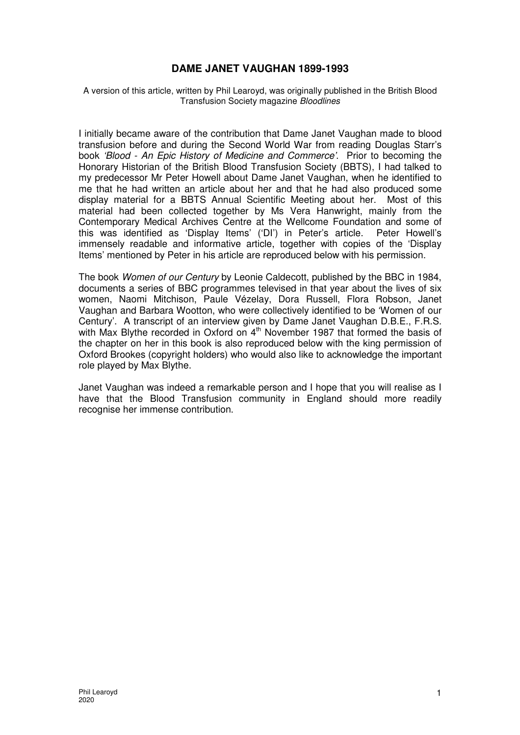# **DAME JANET VAUGHAN 1899-1993**

A version of this article, written by Phil Learoyd, was originally published in the British Blood Transfusion Society magazine Bloodlines

I initially became aware of the contribution that Dame Janet Vaughan made to blood transfusion before and during the Second World War from reading Douglas Starr's book 'Blood - An Epic History of Medicine and Commerce'. Prior to becoming the Honorary Historian of the British Blood Transfusion Society (BBTS), I had talked to my predecessor Mr Peter Howell about Dame Janet Vaughan, when he identified to me that he had written an article about her and that he had also produced some display material for a BBTS Annual Scientific Meeting about her. Most of this material had been collected together by Ms Vera Hanwright, mainly from the Contemporary Medical Archives Centre at the Wellcome Foundation and some of this was identified as 'Display Items' ('DI') in Peter's article. Peter Howell's immensely readable and informative article, together with copies of the 'Display Items' mentioned by Peter in his article are reproduced below with his permission.

The book Women of our Century by Leonie Caldecott, published by the BBC in 1984, documents a series of BBC programmes televised in that year about the lives of six women, Naomi Mitchison, Paule Vézelay, Dora Russell, Flora Robson, Janet Vaughan and Barbara Wootton, who were collectively identified to be 'Women of our Century'. A transcript of an interview given by Dame Janet Vaughan D.B.E., F.R.S. with Max Blythe recorded in Oxford on  $4<sup>th</sup>$  November 1987 that formed the basis of the chapter on her in this book is also reproduced below with the king permission of Oxford Brookes (copyright holders) who would also like to acknowledge the important role played by Max Blythe.

Janet Vaughan was indeed a remarkable person and I hope that you will realise as I have that the Blood Transfusion community in England should more readily recognise her immense contribution.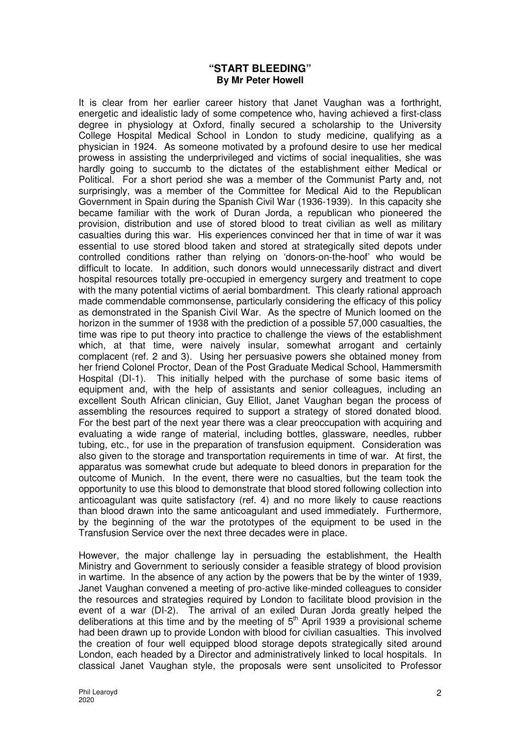# **"START BLEEDING" By Mr Peter Howell**

It is clear from her earlier career history that Janet Vaughan was a forthright, energetic and idealistic lady of some competence who, having achieved a first-class degree in physiology at Oxford, finally secured a scholarship to the University College Hospital Medical School in London to study medicine, qualifying as a physician in 1924. As someone motivated by a profound desire to use her medical prowess in assisting the underprivileged and victims of social inequalities, she was hardly going to succumb to the dictates of the establishment either Medical or Political. For a short period she was a member of the Communist Party and, not surprisingly, was a member of the Committee for Medical Aid to the Republican Government in Spain during the Spanish Civil War (1936-1939). In this capacity she became familiar with the work of Duran Jorda, a republican who pioneered the provision, distribution and use of stored blood to treat civilian as well as military casualties during this war. His experiences convinced her that in time of war it was essential to use stored blood taken and stored at strategically sited depots under controlled conditions rather than relying on 'donors-on-the-hoof' who would be difficult to locate. In addition, such donors would unnecessarily distract and divert hospital resources totally pre-occupied in emergency surgery and treatment to cope with the many potential victims of aerial bombardment. This clearly rational approach made commendable commonsense, particularly considering the efficacy of this policy as demonstrated in the Spanish Civil War. As the spectre of Munich loomed on the horizon in the summer of 1938 with the prediction of a possible 57,000 casualties, the time was ripe to put theory into practice to challenge the views of the establishment which, at that time, were naively insular, somewhat arrogant and certainly complacent (ref. 2 and 3). Using her persuasive powers she obtained money from her friend Colonel Proctor, Dean of the Post Graduate Medical School, Hammersmith Hospital (DI-1). This initially helped with the purchase of some basic items of equipment and, with the help of assistants and senior colleagues, including an excellent South African clinician, Guy Elliot, Janet Vaughan began the process of assembling the resources required to support a strategy of stored donated blood. For the best part of the next year there was a clear preoccupation with acquiring and evaluating a wide range of material, including bottles, glassware, needles, rubber tubing, etc., for use in the preparation of transfusion equipment. Consideration was also given to the storage and transportation requirements in time of war. At first, the apparatus was somewhat crude but adequate to bleed donors in preparation for the outcome of Munich. In the event, there were no casualties, but the team took the opportunity to use this blood to demonstrate that blood stored following collection into anticoagulant was quite satisfactory (ref. 4) and no more likely to cause reactions than blood drawn into the same anticoagulant and used immediately. Furthermore, by the beginning of the war the prototypes of the equipment to be used in the Transfusion Service over the next three decades were in place.

However, the major challenge lay in persuading the establishment, the Health Ministry and Government to seriously consider a feasible strategy of blood provision in wartime. In the absence of any action by the powers that be by the winter of 1939, Janet Vaughan convened a meeting of pro-active like-minded colleagues to consider the resources and strategies required by London to facilitate blood provision in the event of a war (DI-2). The arrival of an exiled Duran Jorda greatly helped the deliberations at this time and by the meeting of  $5<sup>th</sup>$  April 1939 a provisional scheme had been drawn up to provide London with blood for civilian casualties. This involved the creation of four well equipped blood storage depots strategically sited around London, each headed by a Director and administratively linked to local hospitals. In classical Janet Vaughan style, the proposals were sent unsolicited to Professor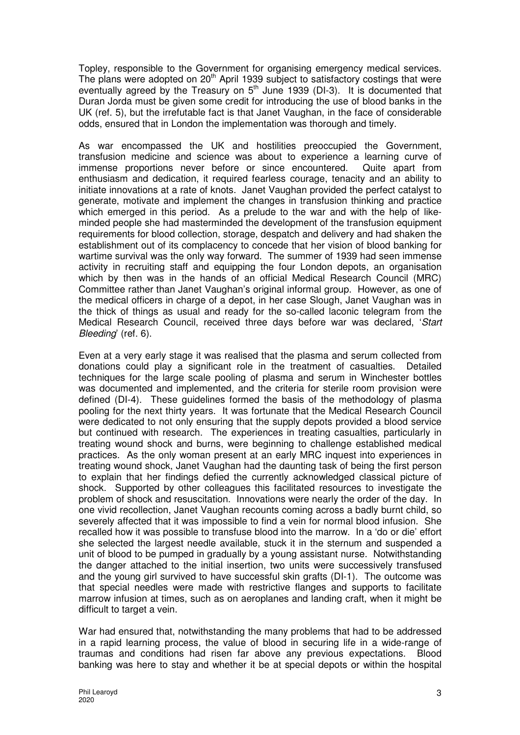Topley, responsible to the Government for organising emergency medical services. The plans were adopted on  $20<sup>th</sup>$  April 1939 subject to satisfactory costings that were eventually agreed by the Treasury on  $5<sup>th</sup>$  June 1939 (DI-3). It is documented that Duran Jorda must be given some credit for introducing the use of blood banks in the UK (ref. 5), but the irrefutable fact is that Janet Vaughan, in the face of considerable odds, ensured that in London the implementation was thorough and timely.

As war encompassed the UK and hostilities preoccupied the Government, transfusion medicine and science was about to experience a learning curve of immense proportions never before or since encountered. Quite apart from enthusiasm and dedication, it required fearless courage, tenacity and an ability to initiate innovations at a rate of knots. Janet Vaughan provided the perfect catalyst to generate, motivate and implement the changes in transfusion thinking and practice which emerged in this period. As a prelude to the war and with the help of likeminded people she had masterminded the development of the transfusion equipment requirements for blood collection, storage, despatch and delivery and had shaken the establishment out of its complacency to concede that her vision of blood banking for wartime survival was the only way forward. The summer of 1939 had seen immense activity in recruiting staff and equipping the four London depots, an organisation which by then was in the hands of an official Medical Research Council (MRC) Committee rather than Janet Vaughan's original informal group. However, as one of the medical officers in charge of a depot, in her case Slough, Janet Vaughan was in the thick of things as usual and ready for the so-called laconic telegram from the Medical Research Council, received three days before war was declared, 'Start Bleeding' (ref. 6).

Even at a very early stage it was realised that the plasma and serum collected from donations could play a significant role in the treatment of casualties. Detailed techniques for the large scale pooling of plasma and serum in Winchester bottles was documented and implemented, and the criteria for sterile room provision were defined (DI-4). These guidelines formed the basis of the methodology of plasma pooling for the next thirty years. It was fortunate that the Medical Research Council were dedicated to not only ensuring that the supply depots provided a blood service but continued with research. The experiences in treating casualties, particularly in treating wound shock and burns, were beginning to challenge established medical practices. As the only woman present at an early MRC inquest into experiences in treating wound shock, Janet Vaughan had the daunting task of being the first person to explain that her findings defied the currently acknowledged classical picture of shock. Supported by other colleagues this facilitated resources to investigate the problem of shock and resuscitation. Innovations were nearly the order of the day. In one vivid recollection, Janet Vaughan recounts coming across a badly burnt child, so severely affected that it was impossible to find a vein for normal blood infusion. She recalled how it was possible to transfuse blood into the marrow. In a 'do or die' effort she selected the largest needle available, stuck it in the sternum and suspended a unit of blood to be pumped in gradually by a young assistant nurse. Notwithstanding the danger attached to the initial insertion, two units were successively transfused and the young girl survived to have successful skin grafts (DI-1). The outcome was that special needles were made with restrictive flanges and supports to facilitate marrow infusion at times, such as on aeroplanes and landing craft, when it might be difficult to target a vein.

War had ensured that, notwithstanding the many problems that had to be addressed in a rapid learning process, the value of blood in securing life in a wide-range of traumas and conditions had risen far above any previous expectations. Blood banking was here to stay and whether it be at special depots or within the hospital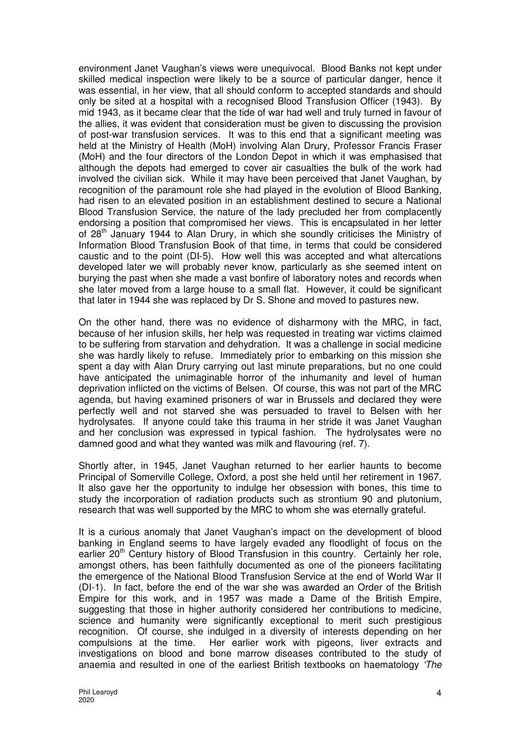environment Janet Vaughan's views were unequivocal. Blood Banks not kept under skilled medical inspection were likely to be a source of particular danger, hence it was essential, in her view, that all should conform to accepted standards and should only be sited at a hospital with a recognised Blood Transfusion Officer (1943). By mid 1943, as it became clear that the tide of war had well and truly turned in favour of the allies, it was evident that consideration must be given to discussing the provision of post-war transfusion services. It was to this end that a significant meeting was held at the Ministry of Health (MoH) involving Alan Drury, Professor Francis Fraser (MoH) and the four directors of the London Depot in which it was emphasised that although the depots had emerged to cover air casualties the bulk of the work had involved the civilian sick. While it may have been perceived that Janet Vaughan, by recognition of the paramount role she had played in the evolution of Blood Banking, had risen to an elevated position in an establishment destined to secure a National Blood Transfusion Service, the nature of the lady precluded her from complacently endorsing a position that compromised her views. This is encapsulated in her letter of 28th January 1944 to Alan Drury, in which she soundly criticises the Ministry of Information Blood Transfusion Book of that time, in terms that could be considered caustic and to the point (DI-5). How well this was accepted and what altercations developed later we will probably never know, particularly as she seemed intent on burying the past when she made a vast bonfire of laboratory notes and records when she later moved from a large house to a small flat. However, it could be significant that later in 1944 she was replaced by Dr S. Shone and moved to pastures new.

On the other hand, there was no evidence of disharmony with the MRC, in fact, because of her infusion skills, her help was requested in treating war victims claimed to be suffering from starvation and dehydration. It was a challenge in social medicine she was hardly likely to refuse. Immediately prior to embarking on this mission she spent a day with Alan Drury carrying out last minute preparations, but no one could have anticipated the unimaginable horror of the inhumanity and level of human deprivation inflicted on the victims of Belsen. Of course, this was not part of the MRC agenda, but having examined prisoners of war in Brussels and declared they were perfectly well and not starved she was persuaded to travel to Belsen with her hydrolysates. If anyone could take this trauma in her stride it was Janet Vaughan and her conclusion was expressed in typical fashion. The hydrolysates were no damned good and what they wanted was milk and flavouring (ref. 7).

Shortly after, in 1945, Janet Vaughan returned to her earlier haunts to become Principal of Somerville College, Oxford, a post she held until her retirement in 1967. It also gave her the opportunity to indulge her obsession with bones, this time to study the incorporation of radiation products such as strontium 90 and plutonium, research that was well supported by the MRC to whom she was eternally grateful.

It is a curious anomaly that Janet Vaughan's impact on the development of blood banking in England seems to have largely evaded any floodlight of focus on the earlier  $20<sup>th</sup>$  Century history of Blood Transfusion in this country. Certainly her role, amongst others, has been faithfully documented as one of the pioneers facilitating the emergence of the National Blood Transfusion Service at the end of World War II (DI-1). In fact, before the end of the war she was awarded an Order of the British Empire for this work, and in 1957 was made a Dame of the British Empire, suggesting that those in higher authority considered her contributions to medicine, science and humanity were significantly exceptional to merit such prestigious recognition. Of course, she indulged in a diversity of interests depending on her compulsions at the time. Her earlier work with pigeons, liver extracts and investigations on blood and bone marrow diseases contributed to the study of anaemia and resulted in one of the earliest British textbooks on haematology 'The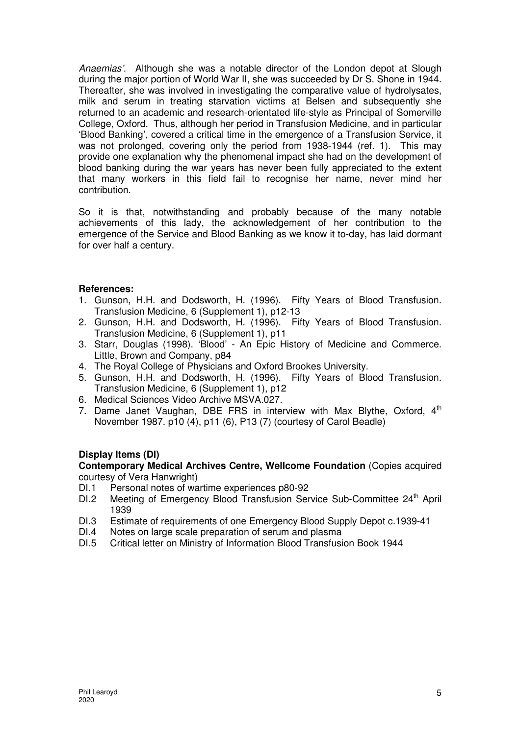Anaemias'. Although she was a notable director of the London depot at Slough during the major portion of World War II, she was succeeded by Dr S. Shone in 1944. Thereafter, she was involved in investigating the comparative value of hydrolysates, milk and serum in treating starvation victims at Belsen and subsequently she returned to an academic and research-orientated life-style as Principal of Somerville College, Oxford. Thus, although her period in Transfusion Medicine, and in particular 'Blood Banking', covered a critical time in the emergence of a Transfusion Service, it was not prolonged, covering only the period from 1938-1944 (ref. 1). This may provide one explanation why the phenomenal impact she had on the development of blood banking during the war years has never been fully appreciated to the extent that many workers in this field fail to recognise her name, never mind her contribution.

So it is that, notwithstanding and probably because of the many notable achievements of this lady, the acknowledgement of her contribution to the emergence of the Service and Blood Banking as we know it to-day, has laid dormant for over half a century.

# **References:**

- 1. Gunson, H.H. and Dodsworth, H. (1996). Fifty Years of Blood Transfusion. Transfusion Medicine, 6 (Supplement 1), p12-13
- 2. Gunson, H.H. and Dodsworth, H. (1996). Fifty Years of Blood Transfusion. Transfusion Medicine, 6 (Supplement 1), p11
- 3. Starr, Douglas (1998). 'Blood' An Epic History of Medicine and Commerce. Little, Brown and Company, p84
- 4. The Royal College of Physicians and Oxford Brookes University.
- 5. Gunson, H.H. and Dodsworth, H. (1996). Fifty Years of Blood Transfusion. Transfusion Medicine, 6 (Supplement 1), p12
- 6. Medical Sciences Video Archive MSVA.027.
- 7. Dame Janet Vaughan, DBE FRS in interview with Max Blythe, Oxford,  $4<sup>th</sup>$ November 1987. p10 (4), p11 (6), P13 (7) (courtesy of Carol Beadle)

# **Display Items (DI)**

**Contemporary Medical Archives Centre, Wellcome Foundation** (Copies acquired courtesy of Vera Hanwright)

- DI.1 Personal notes of wartime experiences p80-92
- DI.2 Meeting of Emergency Blood Transfusion Service Sub-Committee 24<sup>th</sup> April 1939
- DI.3 Estimate of requirements of one Emergency Blood Supply Depot c.1939-41
- DI.4 Notes on large scale preparation of serum and plasma<br>DI.5 Critical letter on Ministry of Information Blood Transfusion
- Critical letter on Ministry of Information Blood Transfusion Book 1944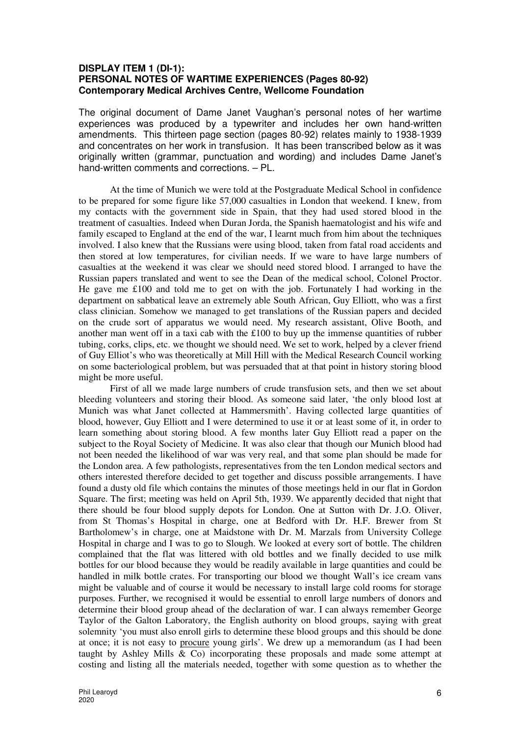## **DISPLAY ITEM 1 (DI-1): PERSONAL NOTES OF WARTIME EXPERIENCES (Pages 80-92) Contemporary Medical Archives Centre, Wellcome Foundation**

The original document of Dame Janet Vaughan's personal notes of her wartime experiences was produced by a typewriter and includes her own hand-written amendments. This thirteen page section (pages 80-92) relates mainly to 1938-1939 and concentrates on her work in transfusion. It has been transcribed below as it was originally written (grammar, punctuation and wording) and includes Dame Janet's hand-written comments and corrections. – PL.

At the time of Munich we were told at the Postgraduate Medical School in confidence to be prepared for some figure like 57,000 casualties in London that weekend. I knew, from my contacts with the government side in Spain, that they had used stored blood in the treatment of casualties. Indeed when Duran Jorda, the Spanish haematologist and his wife and family escaped to England at the end of the war, I learnt much from him about the techniques involved. I also knew that the Russians were using blood, taken from fatal road accidents and then stored at low temperatures, for civilian needs. If we ware to have large numbers of casualties at the weekend it was clear we should need stored blood. I arranged to have the Russian papers translated and went to see the Dean of the medical school, Colonel Proctor. He gave me £100 and told me to get on with the job. Fortunately I had working in the department on sabbatical leave an extremely able South African, Guy Elliott, who was a first class clinician. Somehow we managed to get translations of the Russian papers and decided on the crude sort of apparatus we would need. My research assistant, Olive Booth, and another man went off in a taxi cab with the £100 to buy up the immense quantities of rubber tubing, corks, clips, etc. we thought we should need. We set to work, helped by a clever friend of Guy Elliot's who was theoretically at Mill Hill with the Medical Research Council working on some bacteriological problem, but was persuaded that at that point in history storing blood might be more useful.

First of all we made large numbers of crude transfusion sets, and then we set about bleeding volunteers and storing their blood. As someone said later, 'the only blood lost at Munich was what Janet collected at Hammersmith'. Having collected large quantities of blood, however, Guy Elliott and I were determined to use it or at least some of it, in order to learn something about storing blood. A few months later Guy Elliott read a paper on the subject to the Royal Society of Medicine. It was also clear that though our Munich blood had not been needed the likelihood of war was very real, and that some plan should be made for the London area. A few pathologists, representatives from the ten London medical sectors and others interested therefore decided to get together and discuss possible arrangements. I have found a dusty old file which contains the minutes of those meetings held in our flat in Gordon Square. The first; meeting was held on April 5th, 1939. We apparently decided that night that there should be four blood supply depots for London. One at Sutton with Dr. J.O. Oliver, from St Thomas's Hospital in charge, one at Bedford with Dr. H.F. Brewer from St Bartholomew's in charge, one at Maidstone with Dr. M. Marzals from University College Hospital in charge and I was to go to Slough. We looked at every sort of bottle. The children complained that the flat was littered with old bottles and we finally decided to use milk bottles for our blood because they would be readily available in large quantities and could be handled in milk bottle crates. For transporting our blood we thought Wall's ice cream vans might be valuable and of course it would be necessary to install large cold rooms for storage purposes. Further, we recognised it would be essential to enroll large numbers of donors and determine their blood group ahead of the declaration of war. I can always remember George Taylor of the Galton Laboratory, the English authority on blood groups, saying with great solemnity 'you must also enroll girls to determine these blood groups and this should be done at once; it is not easy to procure young girls'. We drew up a memorandum (as I had been taught by Ashley Mills  $\&$  Co) incorporating these proposals and made some attempt at costing and listing all the materials needed, together with some question as to whether the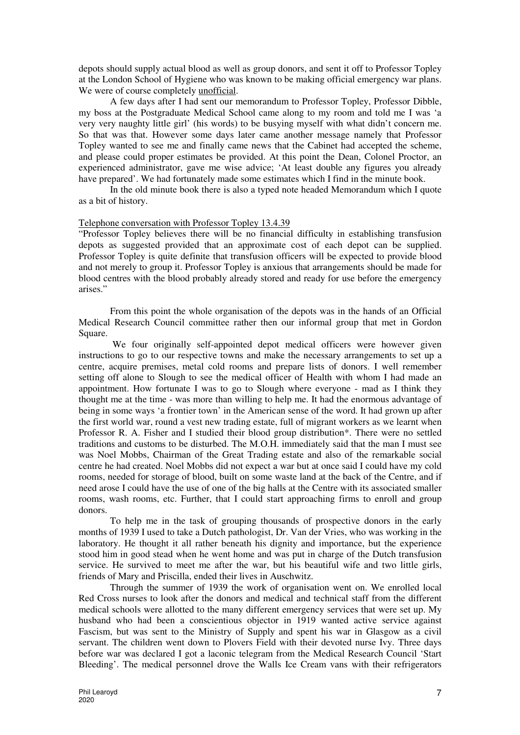depots should supply actual blood as well as group donors, and sent it off to Professor Topley at the London School of Hygiene who was known to be making official emergency war plans. We were of course completely unofficial.

A few days after I had sent our memorandum to Professor Topley, Professor Dibble, my boss at the Postgraduate Medical School came along to my room and told me I was 'a very very naughty little girl' (his words) to be busying myself with what didn't concern me. So that was that. However some days later came another message namely that Professor Topley wanted to see me and finally came news that the Cabinet had accepted the scheme, and please could proper estimates be provided. At this point the Dean, Colonel Proctor, an experienced administrator, gave me wise advice; 'At least double any figures you already have prepared'. We had fortunately made some estimates which I find in the minute book.

In the old minute book there is also a typed note headed Memorandum which I quote as a bit of history.

#### Telephone conversation with Professor Topley 13.4.39

"Professor Topley believes there will be no financial difficulty in establishing transfusion depots as suggested provided that an approximate cost of each depot can be supplied. Professor Topley is quite definite that transfusion officers will be expected to provide blood and not merely to group it. Professor Topley is anxious that arrangements should be made for blood centres with the blood probably already stored and ready for use before the emergency arises."

From this point the whole organisation of the depots was in the hands of an Official Medical Research Council committee rather then our informal group that met in Gordon Square.

 We four originally self-appointed depot medical officers were however given instructions to go to our respective towns and make the necessary arrangements to set up a centre, acquire premises, metal cold rooms and prepare lists of donors. I well remember setting off alone to Slough to see the medical officer of Health with whom I had made an appointment. How fortunate I was to go to Slough where everyone - mad as I think they thought me at the time - was more than willing to help me. It had the enormous advantage of being in some ways 'a frontier town' in the American sense of the word. It had grown up after the first world war, round a vest new trading estate, full of migrant workers as we learnt when Professor R. A. Fisher and I studied their blood group distribution\*. There were no settled traditions and customs to be disturbed. The M.O.H. immediately said that the man I must see was Noel Mobbs, Chairman of the Great Trading estate and also of the remarkable social centre he had created. Noel Mobbs did not expect a war but at once said I could have my cold rooms, needed for storage of blood, built on some waste land at the back of the Centre, and if need arose I could have the use of one of the big halls at the Centre with its associated smaller rooms, wash rooms, etc. Further, that I could start approaching firms to enroll and group donors.

To help me in the task of grouping thousands of prospective donors in the early months of 1939 I used to take a Dutch pathologist, Dr. Van der Vries, who was working in the laboratory. He thought it all rather beneath his dignity and importance, but the experience stood him in good stead when he went home and was put in charge of the Dutch transfusion service. He survived to meet me after the war, but his beautiful wife and two little girls, friends of Mary and Priscilla, ended their lives in Auschwitz.

Through the summer of 1939 the work of organisation went on. We enrolled local Red Cross nurses to look after the donors and medical and technical staff from the different medical schools were allotted to the many different emergency services that were set up. My husband who had been a conscientious objector in 1919 wanted active service against Fascism, but was sent to the Ministry of Supply and spent his war in Glasgow as a civil servant. The children went down to Plovers Field with their devoted nurse Ivy. Three days before war was declared I got a laconic telegram from the Medical Research Council 'Start Bleeding'. The medical personnel drove the Walls Ice Cream vans with their refrigerators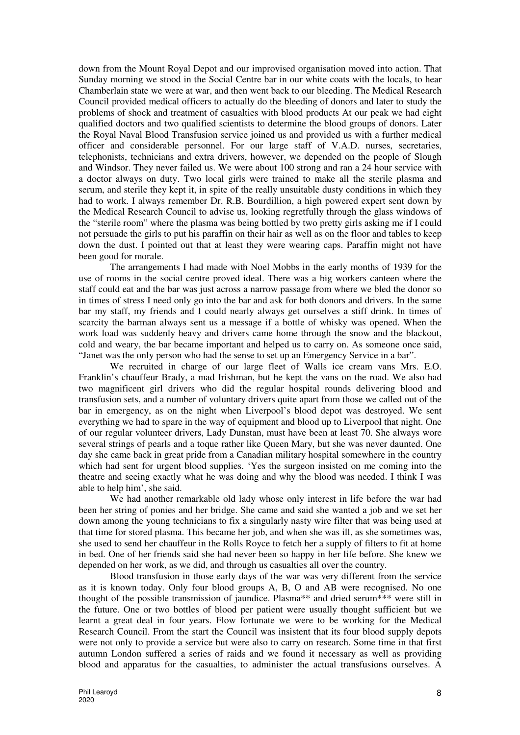down from the Mount Royal Depot and our improvised organisation moved into action. That Sunday morning we stood in the Social Centre bar in our white coats with the locals, to hear Chamberlain state we were at war, and then went back to our bleeding. The Medical Research Council provided medical officers to actually do the bleeding of donors and later to study the problems of shock and treatment of casualties with blood products At our peak we had eight qualified doctors and two qualified scientists to determine the blood groups of donors. Later the Royal Naval Blood Transfusion service joined us and provided us with a further medical officer and considerable personnel. For our large staff of V.A.D. nurses, secretaries, telephonists, technicians and extra drivers, however, we depended on the people of Slough and Windsor. They never failed us. We were about 100 strong and ran a 24 hour service with a doctor always on duty. Two local girls were trained to make all the sterile plasma and serum, and sterile they kept it, in spite of the really unsuitable dusty conditions in which they had to work. I always remember Dr. R.B. Bourdillion, a high powered expert sent down by the Medical Research Council to advise us, looking regretfully through the glass windows of the "sterile room" where the plasma was being bottled by two pretty girls asking me if I could not persuade the girls to put his paraffin on their hair as well as on the floor and tables to keep down the dust. I pointed out that at least they were wearing caps. Paraffin might not have been good for morale.

The arrangements I had made with Noel Mobbs in the early months of 1939 for the use of rooms in the social centre proved ideal. There was a big workers canteen where the staff could eat and the bar was just across a narrow passage from where we bled the donor so in times of stress I need only go into the bar and ask for both donors and drivers. In the same bar my staff, my friends and I could nearly always get ourselves a stiff drink. In times of scarcity the barman always sent us a message if a bottle of whisky was opened. When the work load was suddenly heavy and drivers came home through the snow and the blackout, cold and weary, the bar became important and helped us to carry on. As someone once said, "Janet was the only person who had the sense to set up an Emergency Service in a bar".

We recruited in charge of our large fleet of Walls ice cream vans Mrs. E.O. Franklin's chauffeur Brady, a mad Irishman, but he kept the vans on the road. We also had two magnificent girl drivers who did the regular hospital rounds delivering blood and transfusion sets, and a number of voluntary drivers quite apart from those we called out of the bar in emergency, as on the night when Liverpool's blood depot was destroyed. We sent everything we had to spare in the way of equipment and blood up to Liverpool that night. One of our regular volunteer drivers, Lady Dunstan, must have been at least 70. She always wore several strings of pearls and a toque rather like Queen Mary, but she was never daunted. One day she came back in great pride from a Canadian military hospital somewhere in the country which had sent for urgent blood supplies. 'Yes the surgeon insisted on me coming into the theatre and seeing exactly what he was doing and why the blood was needed. I think I was able to help him', she said.

We had another remarkable old lady whose only interest in life before the war had been her string of ponies and her bridge. She came and said she wanted a job and we set her down among the young technicians to fix a singularly nasty wire filter that was being used at that time for stored plasma. This became her job, and when she was ill, as she sometimes was, she used to send her chauffeur in the Rolls Royce to fetch her a supply of filters to fit at home in bed. One of her friends said she had never been so happy in her life before. She knew we depended on her work, as we did, and through us casualties all over the country.

Blood transfusion in those early days of the war was very different from the service as it is known today. Only four blood groups A, B, O and AB were recognised. No one thought of the possible transmission of jaundice. Plasma\*\* and dried serum\*\*\* were still in the future. One or two bottles of blood per patient were usually thought sufficient but we learnt a great deal in four years. Flow fortunate we were to be working for the Medical Research Council. From the start the Council was insistent that its four blood supply depots were not only to provide a service but were also to carry on research. Some time in that first autumn London suffered a series of raids and we found it necessary as well as providing blood and apparatus for the casualties, to administer the actual transfusions ourselves. A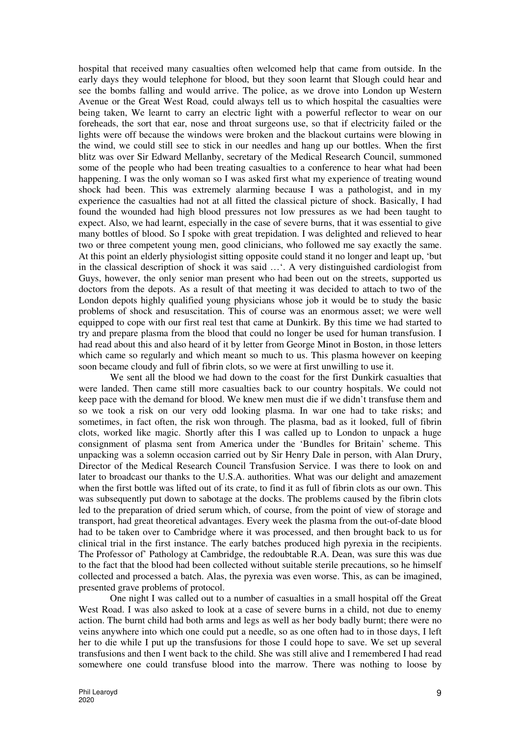hospital that received many casualties often welcomed help that came from outside. In the early days they would telephone for blood, but they soon learnt that Slough could hear and see the bombs falling and would arrive. The police, as we drove into London up Western Avenue or the Great West Road*,* could always tell us to which hospital the casualties were being taken, We learnt to carry an electric light with a powerful reflector to wear on our foreheads, the sort that ear, nose and throat surgeons use, so that if electricity failed or the lights were off because the windows were broken and the blackout curtains were blowing in the wind, we could still see to stick in our needles and hang up our bottles. When the first blitz was over Sir Edward Mellanby, secretary of the Medical Research Council, summoned some of the people who had been treating casualties to a conference to hear what had been happening. I was the only woman so I was asked first what my experience of treating wound shock had been. This was extremely alarming because I was a pathologist, and in my experience the casualties had not at all fitted the classical picture of shock. Basically, I had found the wounded had high blood pressures not low pressures as we had been taught to expect. Also, we had learnt, especially in the case of severe burns, that it was essential to give many bottles of blood. So I spoke with great trepidation. I was delighted and relieved to hear two or three competent young men, good clinicians, who followed me say exactly the same. At this point an elderly physiologist sitting opposite could stand it no longer and leapt up, 'but in the classical description of shock it was said …'. A very distinguished cardiologist from Guys, however, the only senior man present who had been out on the streets, supported us doctors from the depots. As a result of that meeting it was decided to attach to two of the London depots highly qualified young physicians whose job it would be to study the basic problems of shock and resuscitation. This of course was an enormous asset; we were well equipped to cope with our first real test that came at Dunkirk. By this time we had started to try and prepare plasma from the blood that could no longer be used for human transfusion. I had read about this and also heard of it by letter from George Minot in Boston, in those letters which came so regularly and which meant so much to us. This plasma however on keeping soon became cloudy and full of fibrin clots, so we were at first unwilling to use it.

We sent all the blood we had down to the coast for the first Dunkirk casualties that were landed. Then came still more casualties back to our country hospitals. We could not keep pace with the demand for blood. We knew men must die if we didn't transfuse them and so we took a risk on our very odd looking plasma. In war one had to take risks; and sometimes, in fact often, the risk won through. The plasma, bad as it looked, full of fibrin clots, worked like magic. Shortly after this I was called up to London to unpack a huge consignment of plasma sent from America under the 'Bundles for Britain' scheme. This unpacking was a solemn occasion carried out by Sir Henry Dale in person, with Alan Drury, Director of the Medical Research Council Transfusion Service. I was there to look on and later to broadcast our thanks to the U.S.A. authorities. What was our delight and amazement when the first bottle was lifted out of its crate, to find it as full of fibrin clots as our own. This was subsequently put down to sabotage at the docks. The problems caused by the fibrin clots led to the preparation of dried serum which, of course, from the point of view of storage and transport, had great theoretical advantages. Every week the plasma from the out-of-date blood had to be taken over to Cambridge where it was processed, and then brought back to us for clinical trial in the first instance. The early batches produced high pyrexia in the recipients. The Professor of' Pathology at Cambridge, the redoubtable R.A. Dean, was sure this was due to the fact that the blood had been collected without suitable sterile precautions, so he himself collected and processed a batch. Alas, the pyrexia was even worse. This, as can be imagined, presented grave problems of protocol.

One night I was called out to a number of casualties in a small hospital off the Great West Road. I was also asked to look at a case of severe burns in a child, not due to enemy action. The burnt child had both arms and legs as well as her body badly burnt; there were no veins anywhere into which one could put a needle, so as one often had to in those days, I left her to die while I put up the transfusions for those I could hope to save. We set up several transfusions and then I went back to the child. She was still alive and I remembered I had read somewhere one could transfuse blood into the marrow. There was nothing to loose by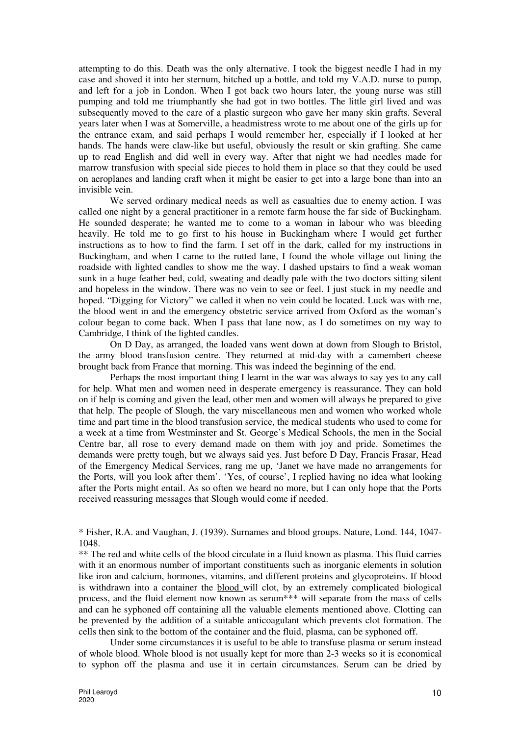attempting to do this. Death was the only alternative. I took the biggest needle I had in my case and shoved it into her sternum, hitched up a bottle, and told my V.A.D. nurse to pump, and left for a job in London. When I got back two hours later, the young nurse was still pumping and told me triumphantly she had got in two bottles. The little girl lived and was subsequently moved to the care of a plastic surgeon who gave her many skin grafts. Several years later when I was at Somerville, a headmistress wrote to me about one of the girls up for the entrance exam, and said perhaps I would remember her, especially if I looked at her hands. The hands were claw-like but useful, obviously the result or skin grafting. She came up to read English and did well in every way. After that night we had needles made for marrow transfusion with special side pieces to hold them in place so that they could be used on aeroplanes and landing craft when it might be easier to get into a large bone than into an invisible vein.

We served ordinary medical needs as well as casualties due to enemy action. I was called one night by a general practitioner in a remote farm house the far side of Buckingham. He sounded desperate; he wanted me to come to a woman in labour who was bleeding heavily. He told me to go first to his house in Buckingham where I would get further instructions as to how to find the farm. I set off in the dark, called for my instructions in Buckingham, and when I came to the rutted lane, I found the whole village out lining the roadside with lighted candles to show me the way. I dashed upstairs to find a weak woman sunk in a huge feather bed, cold, sweating and deadly pale with the two doctors sitting silent and hopeless in the window. There was no vein to see or feel. I just stuck in my needle and hoped. "Digging for Victory" we called it when no vein could be located. Luck was with me, the blood went in and the emergency obstetric service arrived from Oxford as the woman's colour began to come back. When I pass that lane now, as I do sometimes on my way to Cambridge, I think of the lighted candles.

 On D Day, as arranged, the loaded vans went down at down from Slough to Bristol, the army blood transfusion centre. They returned at mid-day with a camembert cheese brought back from France that morning. This was indeed the beginning of the end.

Perhaps the most important thing I learnt in the war was always to say yes to any call for help. What men and women need in desperate emergency is reassurance. They can hold on if help is coming and given the lead, other men and women will always be prepared to give that help. The people of Slough, the vary miscellaneous men and women who worked whole time and part time in the blood transfusion service, the medical students who used to come for a week at a time from Westminster and St. George's Medical Schools, the men in the Social Centre bar, all rose to every demand made on them with joy and pride. Sometimes the demands were pretty tough, but we always said yes. Just before D Day, Francis Frasar, Head of the Emergency Medical Services, rang me up, 'Janet we have made no arrangements for the Ports, will you look after them'. 'Yes, of course', I replied having no idea what looking after the Ports might entail. As so often we heard no more, but I can only hope that the Ports received reassuring messages that Slough would come if needed.

\* Fisher, R.A. and Vaughan, J. (1939). Surnames and blood groups. Nature, Lond. 144, 1047- 1048.

\*\* The red and white cells of the blood circulate in a fluid known as plasma. This fluid carries with it an enormous number of important constituents such as inorganic elements in solution like iron and calcium, hormones, vitamins, and different proteins and glycoproteins. If blood is withdrawn into a container the blood will clot, by an extremely complicated biological process, and the fluid element now known as serum\*\*\* will separate from the mass of cells and can he syphoned off containing all the valuable elements mentioned above. Clotting can be prevented by the addition of a suitable anticoagulant which prevents clot formation. The cells then sink to the bottom of the container and the fluid, plasma, can be syphoned off.

Under some circumstances it is useful to be able to transfuse plasma or serum instead of whole blood. Whole blood is not usually kept for more than 2-3 weeks so it is economical to syphon off the plasma and use it in certain circumstances. Serum can be dried by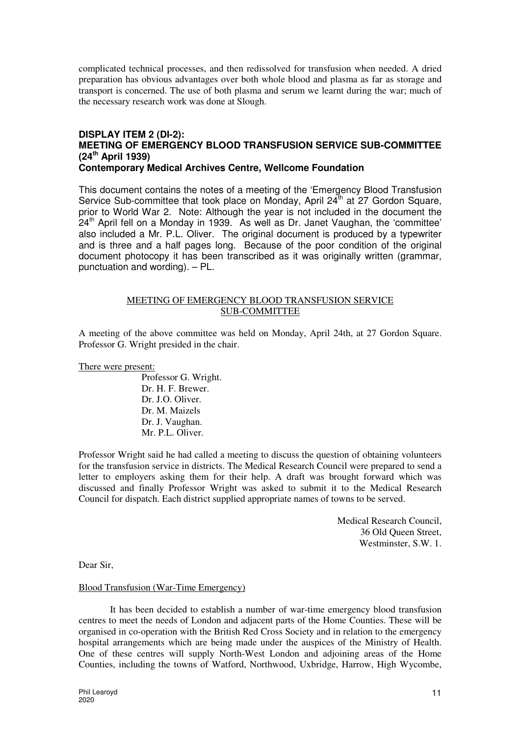complicated technical processes, and then redissolved for transfusion when needed. A dried preparation has obvious advantages over both whole blood and plasma as far as storage and transport is concerned. The use of both plasma and serum we learnt during the war; much of the necessary research work was done at Slough.

#### **DISPLAY ITEM 2 (DI-2): MEETING OF EMERGENCY BLOOD TRANSFUSION SERVICE SUB-COMMITTEE (24th April 1939) Contemporary Medical Archives Centre, Wellcome Foundation**

This document contains the notes of a meeting of the 'Emergency Blood Transfusion Service Sub-committee that took place on Monday, April 24<sup>th</sup> at 27 Gordon Square, prior to World War 2. Note: Although the year is not included in the document the  $24<sup>th</sup>$  April fell on a Monday in 1939. As well as Dr. Janet Vaughan, the 'committee' also included a Mr. P.L. Oliver. The original document is produced by a typewriter and is three and a half pages long. Because of the poor condition of the original document photocopy it has been transcribed as it was originally written (grammar, punctuation and wording). – PL.

## MEETING OF EMERGENCY BLOOD TRANSFUSION SERVICE SUB-COMMITTEE

A meeting of the above committee was held on Monday, April 24th, at 27 Gordon Square. Professor G. Wright presided in the chair.

#### There were present:

Professor G. Wright. Dr. H. F. Brewer. Dr. J.O. Oliver. Dr. M. Maizels Dr. J. Vaughan. Mr. P.L. Oliver.

Professor Wright said he had called a meeting to discuss the question of obtaining volunteers for the transfusion service in districts. The Medical Research Council were prepared to send a letter to employers asking them for their help. A draft was brought forward which was discussed and finally Professor Wright was asked to submit it to the Medical Research Council for dispatch. Each district supplied appropriate names of towns to be served.

> Medical Research Council, 36 Old Queen Street, Westminster, S.W. 1.

Dear Sir,

#### Blood Transfusion (War-Time Emergency)

It has been decided to establish a number of war-time emergency blood transfusion centres to meet the needs of London and adjacent parts of the Home Counties. These will be organised in co-operation with the British Red Cross Society and in relation to the emergency hospital arrangements which are being made under the auspices of the Ministry of Health. One of these centres will supply North-West London and adjoining areas of the Home Counties, including the towns of Watford, Northwood, Uxbridge, Harrow, High Wycombe,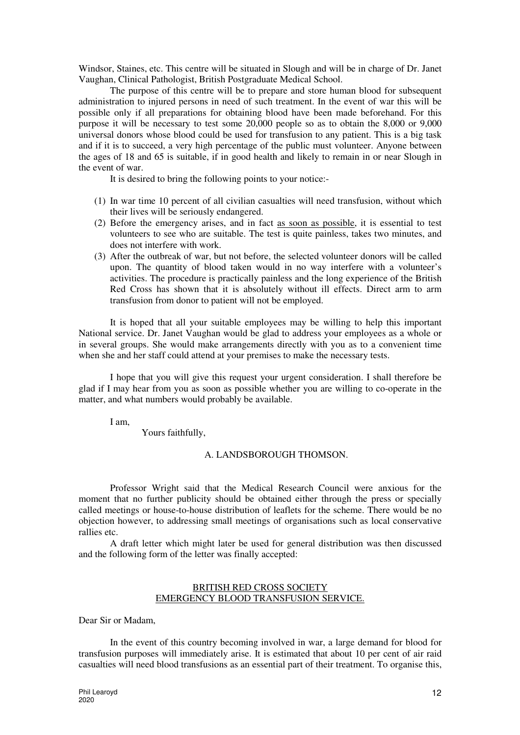Windsor, Staines, etc. This centre will be situated in Slough and will be in charge of Dr. Janet Vaughan, Clinical Pathologist, British Postgraduate Medical School.

The purpose of this centre will be to prepare and store human blood for subsequent administration to injured persons in need of such treatment. In the event of war this will be possible only if all preparations for obtaining blood have been made beforehand. For this purpose it will be necessary to test some 20,000 people so as to obtain the 8,000 or 9,000 universal donors whose blood could be used for transfusion to any patient. This is a big task and if it is to succeed, a very high percentage of the public must volunteer. Anyone between the ages of 18 and 65 is suitable, if in good health and likely to remain in or near Slough in the event of war.

It is desired to bring the following points to your notice:-

- (1) In war time 10 percent of all civilian casualties will need transfusion, without which their lives will be seriously endangered.
- (2) Before the emergency arises, and in fact as soon as possible, it is essential to test volunteers to see who are suitable. The test is quite painless, takes two minutes, and does not interfere with work.
- (3) After the outbreak of war, but not before, the selected volunteer donors will be called upon. The quantity of blood taken would in no way interfere with a volunteer's activities. The procedure is practically painless and the long experience of the British Red Cross has shown that it is absolutely without ill effects. Direct arm to arm transfusion from donor to patient will not be employed.

It is hoped that all your suitable employees may be willing to help this important National service. Dr. Janet Vaughan would be glad to address your employees as a whole or in several groups. She would make arrangements directly with you as to a convenient time when she and her staff could attend at your premises to make the necessary tests.

I hope that you will give this request your urgent consideration. I shall therefore be glad if I may hear from you as soon as possible whether you are willing to co-operate in the matter, and what numbers would probably be available.

I am,

Yours faithfully,

#### A. LANDSBOROUGH THOMSON.

Professor Wright said that the Medical Research Council were anxious for the moment that no further publicity should be obtained either through the press or specially called meetings or house-to-house distribution of leaflets for the scheme. There would be no objection however, to addressing small meetings of organisations such as local conservative rallies etc.

A draft letter which might later be used for general distribution was then discussed and the following form of the letter was finally accepted:

### BRITISH RED CROSS SOCIETY EMERGENCY BLOOD TRANSFUSION SERVICE.

Dear Sir or Madam,

In the event of this country becoming involved in war, a large demand for blood for transfusion purposes will immediately arise. It is estimated that about 10 per cent of air raid casualties will need blood transfusions as an essential part of their treatment. To organise this,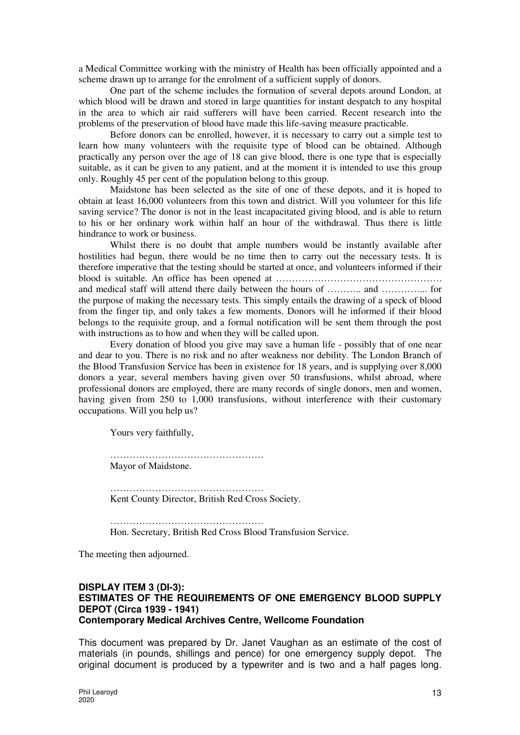a Medical Committee working with the ministry of Health has been officially appointed and a scheme drawn up to arrange for the enrolment of a sufficient supply of donors.

One part of the scheme includes the formation of several depots around London, at which blood will be drawn and stored in large quantities for instant despatch to any hospital in the area to which air raid sufferers will have been carried. Recent research into the problems of the preservation of blood have made this life-saving measure practicable.

Before donors can be enrolled, however, it is necessary to carry out a simple test to learn how many volunteers with the requisite type of blood can be obtained. Although practically any person over the age of 18 can give blood, there is one type that is especially suitable, as it can be given to any patient, and at the moment it is intended to use this group only. Roughly 45 per cent of the population belong to this group.

Maidstone has been selected as the site of one of these depots, and it is hoped to obtain at least 16,000 volunteers from this town and district. Will you volunteer for this life saving service? The donor is not in the least incapacitated giving blood, and is able to return to his or her ordinary work within half an hour of the withdrawal. Thus there is little hindrance to work or business.

Whilst there is no doubt that ample numbers would be instantly available after hostilities had begun, there would be no time then to carry out the necessary tests. It is therefore imperative that the testing should be started at once, and volunteers informed if their blood is suitable. An office has been opened at ……………………………………………. and medical staff will attend there daily between the hours of ……….. and …………... for the purpose of making the necessary tests. This simply entails the drawing of a speck of blood from the finger tip, and only takes a few moments. Donors will he informed if their blood belongs to the requisite group, and a formal notification will be sent them through the post with instructions as to how and when they will be called upon.

Every donation of blood you give may save a human life - possibly that of one near and dear to you. There is no risk and no after weakness nor debility. The London Branch of the Blood Transfusion Service has been in existence for 18 years, and is supplying over 8,000 donors a year, several members having given over 50 transfusions, whilst abroad, where professional donors are employed, there are many records of single donors, men and women, having given from 250 to 1,000 transfusions, without interference with their customary occupations. Will you help us?

Yours very faithfully,

………………………………………… Mayor of Maidstone.

………………………………………… Kent County Director, British Red Cross Society.

…………………………………………… Hon. Secretary, British Red Cross Blood Transfusion Service.

The meeting then adjourned.

### **DISPLAY ITEM 3 (DI-3): ESTIMATES OF THE REQUIREMENTS OF ONE EMERGENCY BLOOD SUPPLY DEPOT (Circa 1939 - 1941) Contemporary Medical Archives Centre, Wellcome Foundation**

This document was prepared by Dr. Janet Vaughan as an estimate of the cost of materials (in pounds, shillings and pence) for one emergency supply depot. The original document is produced by a typewriter and is two and a half pages long.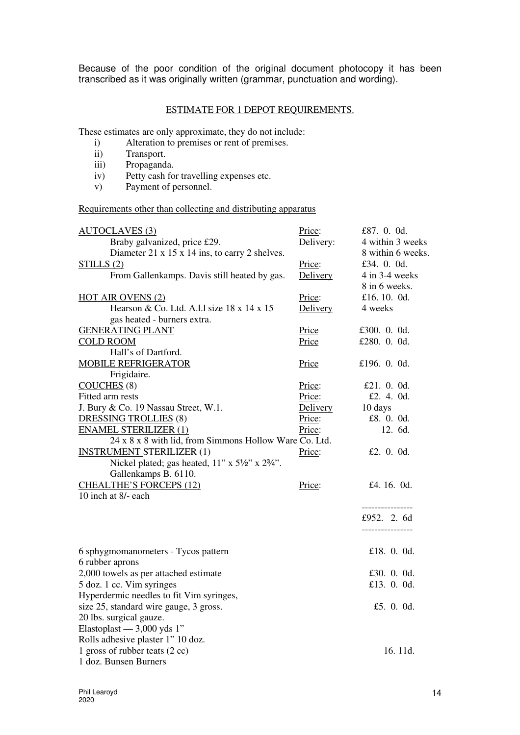Because of the poor condition of the original document photocopy it has been transcribed as it was originally written (grammar, punctuation and wording).

## ESTIMATE FOR 1 DEPOT REQUIREMENTS.

These estimates are only approximate, they do not include:

- i) Alteration to premises or rent of premises.<br>
ii) Transport.
- Transport.
- iii) Propaganda.<br>iv) Petty cash fo
- Petty cash for travelling expenses etc.
- v) Payment of personnel.

# Requirements other than collecting and distributing apparatus

| <b>AUTOCLAVES</b> (3)                                  | Price:    | £87. 0. 0d.       |
|--------------------------------------------------------|-----------|-------------------|
| Braby galvanized, price £29.                           | Delivery: | 4 within 3 weeks  |
| Diameter 21 x 15 x 14 ins, to carry 2 shelves.         |           | 8 within 6 weeks. |
| STILLS(2)                                              | Price:    | £34. 0. 0d.       |
| From Gallenkamps. Davis still heated by gas.           | Delivery  | 4 in 3-4 weeks    |
|                                                        |           | 8 in 6 weeks.     |
| <b>HOT AIR OVENS (2)</b>                               | Price:    | £16.10.0d.        |
| Hearson & Co. Ltd. A.l.1 size 18 x 14 x 15             | Delivery  | 4 weeks           |
| gas heated - burners extra.                            |           |                   |
| <b>GENERATING PLANT</b>                                | Price     | £300. 0. 0d.      |
| <b>COLD ROOM</b>                                       | Price     | £280. 0. 0d.      |
| Hall's of Dartford.                                    |           |                   |
| <b>MOBILE REFRIGERATOR</b>                             | Price     | £196. $0.0d$ .    |
| Frigidaire.                                            |           |                   |
| COUCHES(8)                                             | Price:    | £21. 0. 0d.       |
| Fitted arm rests                                       | Price:    | £2. 4. 0d.        |
| J. Bury & Co. 19 Nassau Street, W.1.                   | Delivery  | 10 days           |
| DRESSING TROLLIES (8)                                  | Price:    | £8. 0. 0d.        |
| <b>ENAMEL STERILIZER (1)</b>                           | Price:    | 12. 6d.           |
| 24 x 8 x 8 with lid, from Simmons Hollow Ware Co. Ltd. |           |                   |
| <b>INSTRUMENT STERILIZER (1)</b>                       | Price:    | £2. 0. 0d.        |
| Nickel plated; gas heated, 11" x 51/2" x 23/4".        |           |                   |
| Gallenkamps B. 6110.                                   |           |                   |
| <b>CHEALTHE'S FORCEPS (12)</b>                         | Price:    | £4.16.0d.         |
| 10 inch at 8/- each                                    |           |                   |
|                                                        |           | ----------------  |
|                                                        |           | £952. 2. 6d       |
|                                                        |           | ----------------  |
|                                                        |           |                   |
| 6 sphygmomanometers - Tycos pattern                    |           | £18. 0. 0d.       |
| 6 rubber aprons                                        |           |                   |
| 2,000 towels as per attached estimate                  |           | £30. $0.0d$ .     |
| 5 doz. 1 cc. Vim syringes                              |           | £13. 0. 0d.       |
| Hyperdermic needles to fit Vim syringes,               |           |                   |
| size 25, standard wire gauge, 3 gross.                 |           | £5. 0. 0d.        |
| 20 lbs. surgical gauze.                                |           |                   |
| Elastoplast $-3,000$ yds 1"                            |           |                   |
| Rolls adhesive plaster 1" 10 doz.                      |           |                   |
| 1 gross of rubber teats (2 cc)                         |           | 16.11d.           |
| 1 doz. Bunsen Burners                                  |           |                   |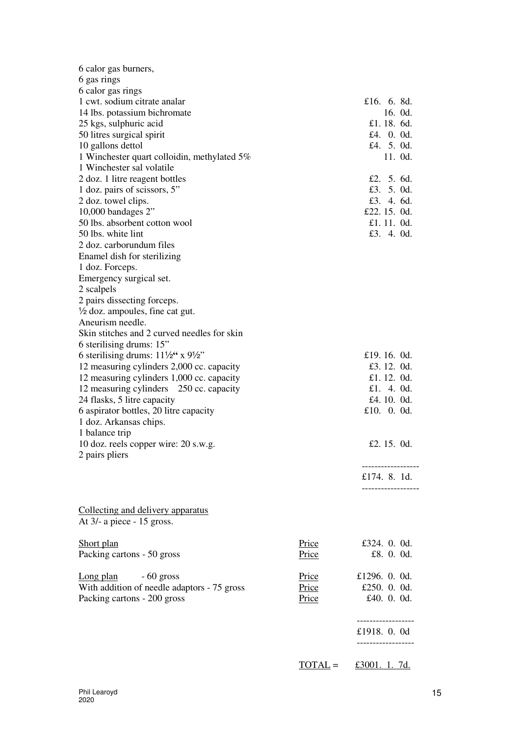| 6 calor gas burners,                                    |              |                      |
|---------------------------------------------------------|--------------|----------------------|
| 6 gas rings                                             |              |                      |
| 6 calor gas rings<br>1 cwt. sodium citrate analar       |              | £16. 6. 8d.          |
|                                                         |              | 16. $0d$ .           |
| 14 lbs. potassium bichromate<br>25 kgs, sulphuric acid  |              | £1.18.6d.            |
| 50 litres surgical spirit                               |              | £4. 0. 0d.           |
| 10 gallons dettol                                       |              | £4. 5. 0d.           |
| 1 Winchester quart colloidin, methylated 5%             |              | 11. Od.              |
| 1 Winchester sal volatile                               |              |                      |
| 2 doz. 1 litre reagent bottles                          |              | £2. 5. 6d.           |
| 1 doz. pairs of scissors, 5"                            |              | £3. 5. 0d.           |
| 2 doz. towel clips.                                     |              | £3. 4. $6d$ .        |
| 10,000 bandages $2$ "                                   |              | £22.15.0d.           |
| 50 lbs. absorbent cotton wool                           |              | £1.11.0d.            |
| 50 lbs. white lint                                      |              | £3. 4. 0d.           |
| 2 doz. carborundum files                                |              |                      |
| Enamel dish for sterilizing                             |              |                      |
| 1 doz. Forceps.                                         |              |                      |
| Emergency surgical set.                                 |              |                      |
| 2 scalpels                                              |              |                      |
| 2 pairs dissecting forceps.                             |              |                      |
| $\frac{1}{2}$ doz. ampoules, fine cat gut.              |              |                      |
| Aneurism needle.                                        |              |                      |
| Skin stitches and 2 curved needles for skin             |              |                      |
| 6 sterilising drums: 15"                                |              |                      |
| 6 sterilising drums: $11\frac{1}{2}$ x $9\frac{1}{2}$ " |              | £19.16.0d.           |
| 12 measuring cylinders 2,000 cc. capacity               |              | £3.12.0d.            |
| 12 measuring cylinders 1,000 cc. capacity               |              | £1.12.0d.            |
| 12 measuring cylinders 250 cc. capacity                 |              | £1. 4. $0d$ .        |
| 24 flasks, 5 litre capacity                             |              | £4.10.0d.            |
| 6 aspirator bottles, 20 litre capacity                  |              | £10. 0. 0d.          |
| 1 doz. Arkansas chips.                                  |              |                      |
| 1 balance trip                                          |              |                      |
| 10 doz. reels copper wire: 20 s.w.g.                    |              | £2.15.0d.            |
| 2 pairs pliers                                          |              |                      |
|                                                         |              |                      |
|                                                         |              | £174. 8. 1d.         |
|                                                         |              |                      |
|                                                         |              |                      |
| Collecting and delivery apparatus                       |              |                      |
| At $3/-$ a piece $-15$ gross.                           |              |                      |
|                                                         |              |                      |
| Short plan                                              | <b>Price</b> | £324. $0.0d$ .       |
| Packing cartons - 50 gross                              | <b>Price</b> | £8. 0. 0d.           |
| $-60$ gross<br>Long plan                                | Price        | £1296. $0.0d$ .      |
| With addition of needle adaptors - 75 gross             | Price        | £250. 0. 0d.         |
| Packing cartons - 200 gross                             | <b>Price</b> | £40. 0. 0d.          |
|                                                         |              |                      |
|                                                         |              | ----------------     |
|                                                         |              | £1918. 0. 0d         |
|                                                         |              |                      |
|                                                         |              |                      |
|                                                         | $TOIAL =$    | <u>£3001. 1. 7d.</u> |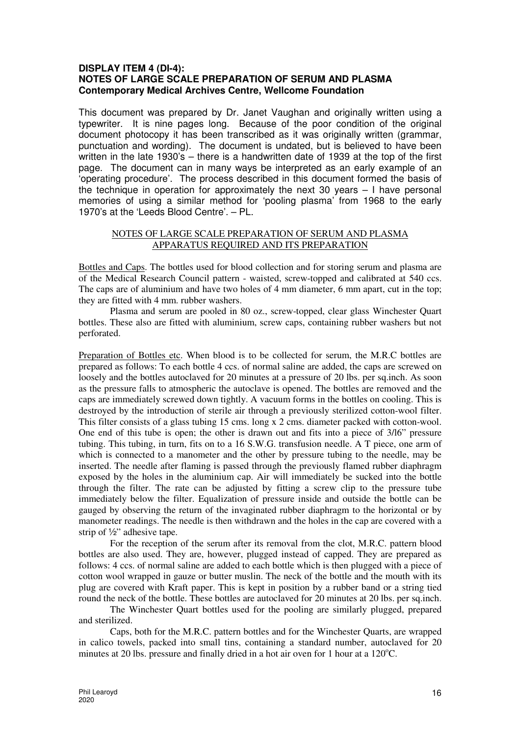# **DISPLAY ITEM 4 (DI-4): NOTES OF LARGE SCALE PREPARATION OF SERUM AND PLASMA Contemporary Medical Archives Centre, Wellcome Foundation**

This document was prepared by Dr. Janet Vaughan and originally written using a typewriter. It is nine pages long. Because of the poor condition of the original document photocopy it has been transcribed as it was originally written (grammar, punctuation and wording). The document is undated, but is believed to have been written in the late 1930's – there is a handwritten date of 1939 at the top of the first page. The document can in many ways be interpreted as an early example of an 'operating procedure'. The process described in this document formed the basis of the technique in operation for approximately the next 30 years  $-1$  have personal memories of using a similar method for 'pooling plasma' from 1968 to the early 1970's at the 'Leeds Blood Centre'. – PL.

### NOTES OF LARGE SCALE PREPARATION OF SERUM AND PLASMA APPARATUS REQUIRED AND ITS PREPARATION

Bottles and Caps. The bottles used for blood collection and for storing serum and plasma are of the Medical Research Council pattern - waisted, screw-topped and calibrated at 540 ccs. The caps are of aluminium and have two holes of 4 mm diameter, 6 mm apart, cut in the top; they are fitted with 4 mm. rubber washers.

Plasma and serum are pooled in 80 oz., screw-topped, clear glass Winchester Quart bottles. These also are fitted with aluminium, screw caps, containing rubber washers but not perforated.

Preparation of Bottles etc. When blood is to be collected for serum, the M.R.C bottles are prepared as follows: To each bottle 4 ccs. of normal saline are added, the caps are screwed on loosely and the bottles autoclaved for 20 minutes at a pressure of 20 lbs. per sq.inch. As soon as the pressure falls to atmospheric the autoclave is opened. The bottles are removed and the caps are immediately screwed down tightly. A vacuum forms in the bottles on cooling. This is destroyed by the introduction of sterile air through a previously sterilized cotton-wool filter. This filter consists of a glass tubing 15 cms. long x 2 cms. diameter packed with cotton-wool. One end of this tube is open; the other is drawn out and fits into a piece of 3/l6" pressure tubing. This tubing, in turn, fits on to a 16 S.W.G. transfusion needle. A T piece, one arm of which is connected to a manometer and the other by pressure tubing to the needle, may be inserted. The needle after flaming is passed through the previously flamed rubber diaphragm exposed by the holes in the aluminium cap. Air will immediately be sucked into the bottle through the filter. The rate can be adjusted by fitting a screw clip to the pressure tube immediately below the filter. Equalization of pressure inside and outside the bottle can be gauged by observing the return of the invaginated rubber diaphragm to the horizontal or by manometer readings. The needle is then withdrawn and the holes in the cap are covered with a strip of ½" adhesive tape.

For the reception of the serum after its removal from the clot, M.R.C. pattern blood bottles are also used. They are, however, plugged instead of capped. They are prepared as follows: 4 ccs. of normal saline are added to each bottle which is then plugged with a piece of cotton wool wrapped in gauze or butter muslin. The neck of the bottle and the mouth with its plug are covered with Kraft paper. This is kept in position by a rubber band or a string tied round the neck of the bottle. These bottles are autoclaved for 20 minutes at 20 lbs. per sq.inch.

The Winchester Quart bottles used for the pooling are similarly plugged, prepared and sterilized.

Caps, both for the M.R.C. pattern bottles and for the Winchester Quarts, are wrapped in calico towels, packed into small tins, containing a standard number, autoclaved for 20 minutes at 20 lbs. pressure and finally dried in a hot air oven for 1 hour at a  $120^{\circ}$ C.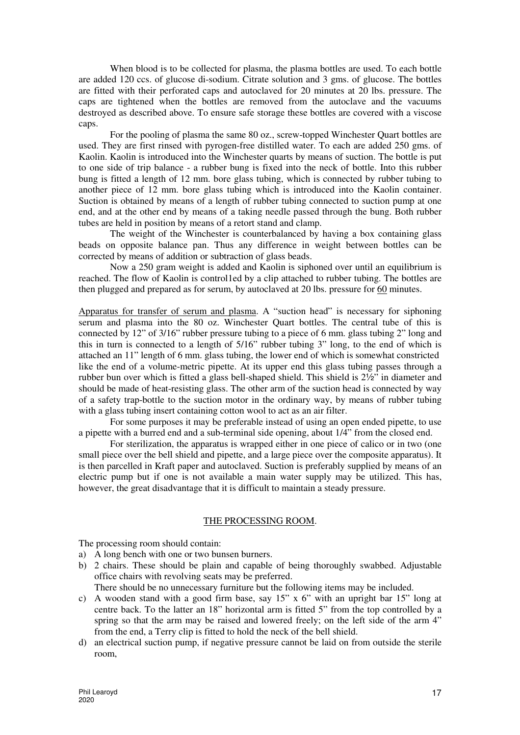When blood is to be collected for plasma, the plasma bottles are used. To each bottle are added 120 ccs. of glucose di-sodium. Citrate solution and 3 gms. of glucose. The bottles are fitted with their perforated caps and autoclaved for 20 minutes at 20 lbs. pressure. The caps are tightened when the bottles are removed from the autoclave and the vacuums destroyed as described above. To ensure safe storage these bottles are covered with a viscose caps.

For the pooling of plasma the same 80 oz., screw-topped Winchester Quart bottles are used. They are first rinsed with pyrogen-free distilled water. To each are added 250 gms. of Kaolin. Kaolin is introduced into the Winchester quarts by means of suction. The bottle is put to one side of trip balance - a rubber bung is fixed into the neck of bottle. Into this rubber bung is fitted a length of 12 mm. bore glass tubing, which is connected by rubber tubing to another piece of 12 mm. bore glass tubing which is introduced into the Kaolin container. Suction is obtained by means of a length of rubber tubing connected to suction pump at one end, and at the other end by means of a taking needle passed through the bung. Both rubber tubes are held in position by means of a retort stand and clamp.

The weight of the Winchester is counterbalanced by having a box containing glass beads on opposite balance pan. Thus any difference in weight between bottles can be corrected by means of addition or subtraction of glass beads.

Now a 250 gram weight is added and Kaolin is siphoned over until an equilibrium is reached. The flow of Kaolin is control1ed by a clip attached to rubber tubing. The bottles are then plugged and prepared as for serum, by autoclaved at 20 lbs. pressure for 60 minutes.

Apparatus for transfer of serum and plasma. A "suction head" is necessary for siphoning serum and plasma into the 80 oz. Winchester Quart bottles. The central tube of this is connected by 12" of 3/16" rubber pressure tubing to a piece of 6 mm. glass tubing 2" long and this in turn is connected to a length of 5/16" rubber tubing 3" long, to the end of which is attached an 11" length of 6 mm. glass tubing, the lower end of which is somewhat constricted like the end of a volume-metric pipette. At its upper end this glass tubing passes through a rubber bun over which is fitted a glass bell-shaped shield. This shield is 2½" in diameter and should be made of heat-resisting glass. The other arm of the suction head is connected by way of a safety trap-bottle to the suction motor in the ordinary way, by means of rubber tubing with a glass tubing insert containing cotton wool to act as an air filter.

 For some purposes it may be preferable instead of using an open ended pipette, to use a pipette with a burred end and a sub-terminal side opening, about 1/4" from the closed end.

 For sterilization, the apparatus is wrapped either in one piece of calico or in two (one small piece over the bell shield and pipette, and a large piece over the composite apparatus). It is then parcelled in Kraft paper and autoclaved. Suction is preferably supplied by means of an electric pump but if one is not available a main water supply may be utilized. This has, however, the great disadvantage that it is difficult to maintain a steady pressure.

#### THE PROCESSING ROOM.

The processing room should contain:

- a) A long bench with one or two bunsen burners.
- b) 2 chairs. These should be plain and capable of being thoroughly swabbed. Adjustable office chairs with revolving seats may be preferred.

There should be no unnecessary furniture but the following items may be included.

- c) A wooden stand with a good firm base, say 15" x 6" with an upright bar 15" long at centre back. To the latter an 18" horizontal arm is fitted 5" from the top controlled by a spring so that the arm may be raised and lowered freely; on the left side of the arm 4" from the end, a Terry clip is fitted to hold the neck of the bell shield.
- d) an electrical suction pump, if negative pressure cannot be laid on from outside the sterile room,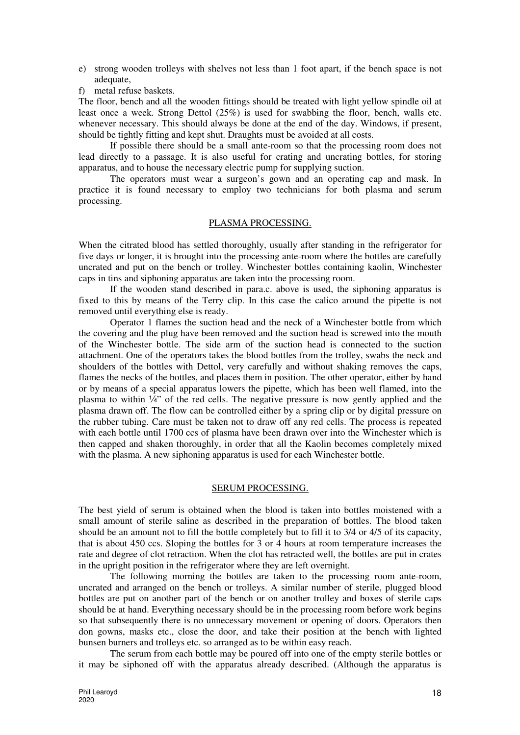- e) strong wooden trolleys with shelves not less than 1 foot apart, if the bench space is not adequate,
- f) metal refuse baskets.

The floor, bench and all the wooden fittings should be treated with light yellow spindle oil at least once a week. Strong Dettol (25%) is used for swabbing the floor, bench, walls etc. whenever necessary. This should always be done at the end of the day. Windows, if present, should be tightly fitting and kept shut. Draughts must be avoided at all costs.

 If possible there should be a small ante-room so that the processing room does not lead directly to a passage. It is also useful for crating and uncrating bottles, for storing apparatus, and to house the necessary electric pump for supplying suction.

 The operators must wear a surgeon's gown and an operating cap and mask. In practice it is found necessary to employ two technicians for both plasma and serum processing.

#### PLASMA PROCESSING.

When the citrated blood has settled thoroughly, usually after standing in the refrigerator for five days or longer, it is brought into the processing ante-room where the bottles are carefully uncrated and put on the bench or trolley. Winchester bottles containing kaolin, Winchester caps in tins and siphoning apparatus are taken into the processing room.

 If the wooden stand described in para.c. above is used, the siphoning apparatus is fixed to this by means of the Terry clip. In this case the calico around the pipette is not removed until everything else is ready.

 Operator 1 flames the suction head and the neck of a Winchester bottle from which the covering and the plug have been removed and the suction head is screwed into the mouth of the Winchester bottle. The side arm of the suction head is connected to the suction attachment. One of the operators takes the blood bottles from the trolley, swabs the neck and shoulders of the bottles with Dettol, very carefully and without shaking removes the caps, flames the necks of the bottles, and places them in position. The other operator, either by hand or by means of a special apparatus lowers the pipette, which has been well flamed, into the plasma to within ¼" of the red cells. The negative pressure is now gently applied and the plasma drawn off. The flow can be controlled either by a spring clip or by digital pressure on the rubber tubing. Care must be taken not to draw off any red cells. The process is repeated with each bottle until 1700 ccs of plasma have been drawn over into the Winchester which is then capped and shaken thoroughly, in order that all the Kaolin becomes completely mixed with the plasma. A new siphoning apparatus is used for each Winchester bottle.

#### SERUM PROCESSING.

The best yield of serum is obtained when the blood is taken into bottles moistened with a small amount of sterile saline as described in the preparation of bottles. The blood taken should be an amount not to fill the bottle completely but to fill it to 3/4 or 4/5 of its capacity, that is about 450 ccs. Sloping the bottles for 3 or 4 hours at room temperature increases the rate and degree of clot retraction. When the clot has retracted well, the bottles are put in crates in the upright position in the refrigerator where they are left overnight.

The following morning the bottles are taken to the processing room ante-room, uncrated and arranged on the bench or trolleys. A similar number of sterile, plugged blood bottles are put on another part of the bench or on another trolley and boxes of sterile caps should be at hand. Everything necessary should be in the processing room before work begins so that subsequently there is no unnecessary movement or opening of doors. Operators then don gowns, masks etc., close the door, and take their position at the bench with lighted bunsen burners and trolleys etc. so arranged as to be within easy reach.

The serum from each bottle may be poured off into one of the empty sterile bottles or it may be siphoned off with the apparatus already described. (Although the apparatus is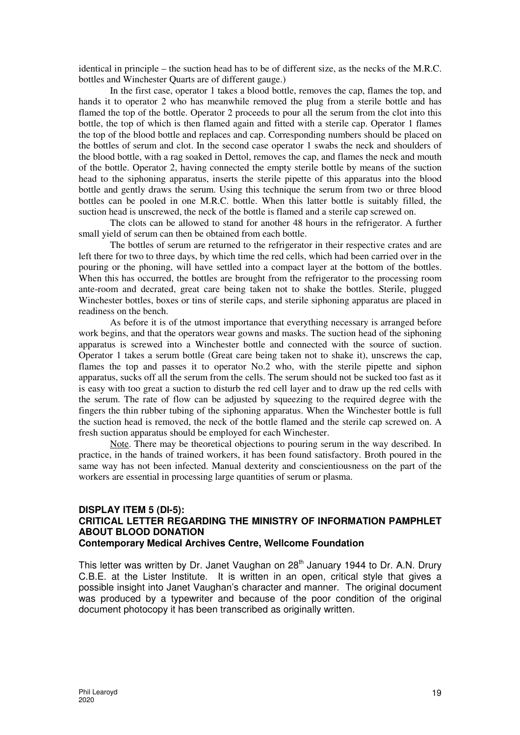identical in principle – the suction head has to be of different size, as the necks of the M.R.C. bottles and Winchester Quarts are of different gauge.)

In the first case, operator 1 takes a blood bottle, removes the cap, flames the top, and hands it to operator 2 who has meanwhile removed the plug from a sterile bottle and has flamed the top of the bottle. Operator 2 proceeds to pour all the serum from the clot into this bottle, the top of which is then flamed again and fitted with a sterile cap. Operator 1 flames the top of the blood bottle and replaces and cap. Corresponding numbers should be placed on the bottles of serum and clot. In the second case operator 1 swabs the neck and shoulders of the blood bottle, with a rag soaked in Dettol, removes the cap, and flames the neck and mouth of the bottle. Operator 2, having connected the empty sterile bottle by means of the suction head to the siphoning apparatus, inserts the sterile pipette of this apparatus into the blood bottle and gently draws the serum. Using this technique the serum from two or three blood bottles can be pooled in one M.R.C. bottle. When this latter bottle is suitably filled, the suction head is unscrewed, the neck of the bottle is flamed and a sterile cap screwed on.

The clots can be allowed to stand for another 48 hours in the refrigerator. A further small yield of serum can then be obtained from each bottle.

The bottles of serum are returned to the refrigerator in their respective crates and are left there for two to three days, by which time the red cells, which had been carried over in the pouring or the phoning, will have settled into a compact layer at the bottom of the bottles. When this has occurred, the bottles are brought from the refrigerator to the processing room ante-room and decrated, great care being taken not to shake the bottles. Sterile, plugged Winchester bottles, boxes or tins of sterile caps, and sterile siphoning apparatus are placed in readiness on the bench.

As before it is of the utmost importance that everything necessary is arranged before work begins, and that the operators wear gowns and masks. The suction head of the siphoning apparatus is screwed into a Winchester bottle and connected with the source of suction. Operator 1 takes a serum bottle (Great care being taken not to shake it), unscrews the cap, flames the top and passes it to operator No.2 who, with the sterile pipette and siphon apparatus, sucks off all the serum from the cells. The serum should not be sucked too fast as it is easy with too great a suction to disturb the red cell layer and to draw up the red cells with the serum. The rate of flow can be adjusted by squeezing to the required degree with the fingers the thin rubber tubing of the siphoning apparatus. When the Winchester bottle is full the suction head is removed, the neck of the bottle flamed and the sterile cap screwed on. A fresh suction apparatus should be employed for each Winchester.

Note. There may be theoretical objections to pouring serum in the way described. In practice, in the hands of trained workers, it has been found satisfactory. Broth poured in the same way has not been infected. Manual dexterity and conscientiousness on the part of the workers are essential in processing large quantities of serum or plasma.

#### **DISPLAY ITEM 5 (DI-5): CRITICAL LETTER REGARDING THE MINISTRY OF INFORMATION PAMPHLET ABOUT BLOOD DONATION Contemporary Medical Archives Centre, Wellcome Foundation**

This letter was written by Dr. Janet Vaughan on 28<sup>th</sup> January 1944 to Dr. A.N. Drury C.B.E. at the Lister Institute. It is written in an open, critical style that gives a possible insight into Janet Vaughan's character and manner. The original document was produced by a typewriter and because of the poor condition of the original document photocopy it has been transcribed as originally written.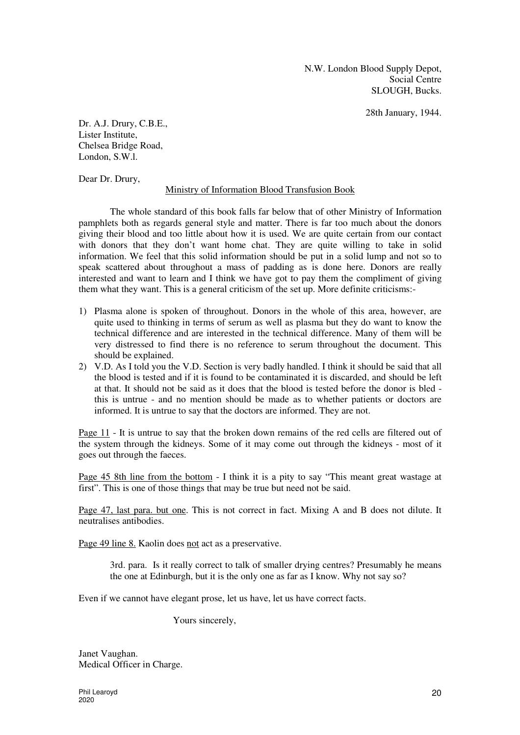N.W. London Blood Supply Depot, Social Centre SLOUGH, Bucks.

28th January, 1944.

Dr. A.J. Drury, C.B.E., Lister Institute, Chelsea Bridge Road, London, S.W.l.

Dear Dr. Drury,

#### Ministry of Information Blood Transfusion Book

The whole standard of this book falls far below that of other Ministry of Information pamphlets both as regards general style and matter. There is far too much about the donors giving their blood and too little about how it is used. We are quite certain from our contact with donors that they don't want home chat. They are quite willing to take in solid information. We feel that this solid information should be put in a solid lump and not so to speak scattered about throughout a mass of padding as is done here. Donors are really interested and want to learn and I think we have got to pay them the compliment of giving them what they want. This is a general criticism of the set up. More definite criticisms:-

- 1) Plasma alone is spoken of throughout. Donors in the whole of this area, however, are quite used to thinking in terms of serum as well as plasma but they do want to know the technical difference and are interested in the technical difference. Many of them will be very distressed to find there is no reference to serum throughout the document. This should be explained.
- 2) V.D. As I told you the V.D. Section is very badly handled. I think it should be said that all the blood is tested and if it is found to be contaminated it is discarded, and should be left at that. It should not be said as it does that the blood is tested before the donor is bled this is untrue - and no mention should be made as to whether patients or doctors are informed. It is untrue to say that the doctors are informed. They are not.

Page 11 - It is untrue to say that the broken down remains of the red cells are filtered out of the system through the kidneys. Some of it may come out through the kidneys - most of it goes out through the faeces.

Page 45 8th line from the bottom - I think it is a pity to say "This meant great wastage at first". This is one of those things that may be true but need not be said.

Page 47, last para. but one. This is not correct in fact. Mixing A and B does not dilute. It neutralises antibodies.

Page 49 line 8. Kaolin does not act as a preservative.

3rd. para. Is it really correct to talk of smaller drying centres? Presumably he means the one at Edinburgh, but it is the only one as far as I know. Why not say so?

Even if we cannot have elegant prose, let us have, let us have correct facts.

Yours sincerely,

Janet Vaughan. Medical Officer in Charge.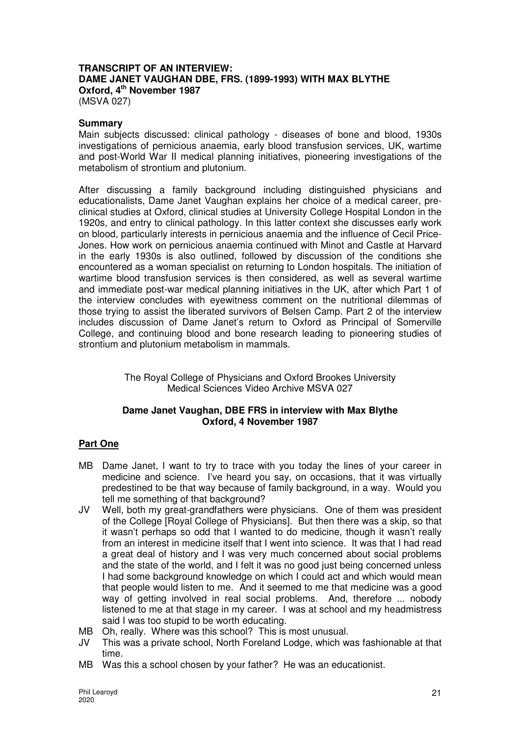# **TRANSCRIPT OF AN INTERVIEW: DAME JANET VAUGHAN DBE, FRS. (1899-1993) WITH MAX BLYTHE Oxford, 4th November 1987**

(MSVA 027)

## **Summary**

Main subjects discussed: clinical pathology - diseases of bone and blood, 1930s investigations of pernicious anaemia, early blood transfusion services, UK, wartime and post-World War II medical planning initiatives, pioneering investigations of the metabolism of strontium and plutonium.

After discussing a family background including distinguished physicians and educationalists, Dame Janet Vaughan explains her choice of a medical career, preclinical studies at Oxford, clinical studies at University College Hospital London in the 1920s, and entry to clinical pathology. In this latter context she discusses early work on blood, particularly interests in pernicious anaemia and the influence of Cecil Price-Jones. How work on pernicious anaemia continued with Minot and Castle at Harvard in the early 1930s is also outlined, followed by discussion of the conditions she encountered as a woman specialist on returning to London hospitals. The initiation of wartime blood transfusion services is then considered, as well as several wartime and immediate post-war medical planning initiatives in the UK, after which Part 1 of the interview concludes with eyewitness comment on the nutritional dilemmas of those trying to assist the liberated survivors of Belsen Camp. Part 2 of the interview includes discussion of Dame Janet's return to Oxford as Principal of Somerville College, and continuing blood and bone research leading to pioneering studies of strontium and plutonium metabolism in mammals.

> The Royal College of Physicians and Oxford Brookes University Medical Sciences Video Archive MSVA 027

## **Dame Janet Vaughan, DBE FRS in interview with Max Blythe Oxford, 4 November 1987**

# **Part One**

- MB Dame Janet, I want to try to trace with you today the lines of your career in medicine and science. I've heard you say, on occasions, that it was virtually predestined to be that way because of family background, in a way. Would you tell me something of that background?
- JV Well, both my great-grandfathers were physicians. One of them was president of the College [Royal College of Physicians]. But then there was a skip, so that it wasn't perhaps so odd that I wanted to do medicine, though it wasn't really from an interest in medicine itself that I went into science. It was that I had read a great deal of history and I was very much concerned about social problems and the state of the world, and I felt it was no good just being concerned unless I had some background knowledge on which I could act and which would mean that people would listen to me. And it seemed to me that medicine was a good way of getting involved in real social problems. And, therefore ... nobody listened to me at that stage in my career. I was at school and my headmistress said I was too stupid to be worth educating.
- MB Oh, really. Where was this school? This is most unusual.
- JV This was a private school, North Foreland Lodge, which was fashionable at that time.
- MB Was this a school chosen by your father? He was an educationist.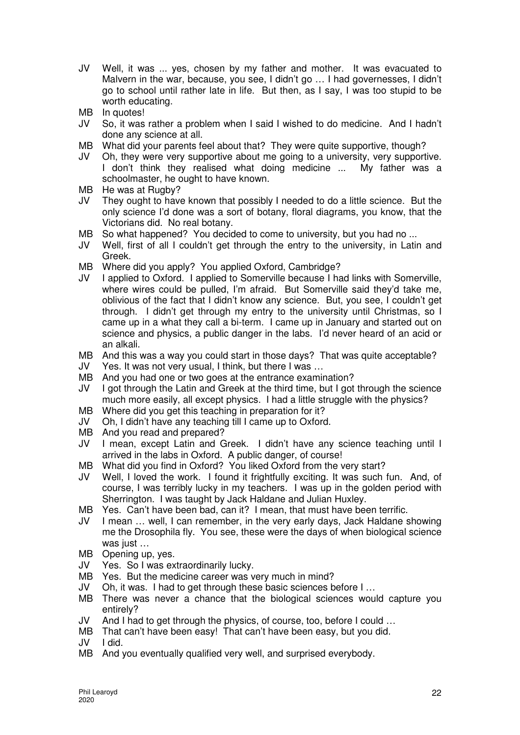- JV Well, it was ... yes, chosen by my father and mother. It was evacuated to Malvern in the war, because, you see, I didn't go … I had governesses, I didn't go to school until rather late in life. But then, as I say, I was too stupid to be worth educating.
- MB In quotes!
- JV So, it was rather a problem when I said I wished to do medicine. And I hadn't done any science at all.
- MB What did your parents feel about that? They were quite supportive, though?
- JV Oh, they were very supportive about me going to a university, very supportive. I don't think they realised what doing medicine ... My father was a schoolmaster, he ought to have known.
- MB He was at Rugby?
- JV They ought to have known that possibly I needed to do a little science. But the only science I'd done was a sort of botany, floral diagrams, you know, that the Victorians did. No real botany.
- MB So what happened? You decided to come to university, but you had no ...
- JV Well, first of all I couldn't get through the entry to the university, in Latin and Greek.
- MB Where did you apply? You applied Oxford, Cambridge?
- JV I applied to Oxford. I applied to Somerville because I had links with Somerville, where wires could be pulled, I'm afraid. But Somerville said they'd take me, oblivious of the fact that I didn't know any science. But, you see, I couldn't get through. I didn't get through my entry to the university until Christmas, so I came up in a what they call a bi-term. I came up in January and started out on science and physics, a public danger in the labs. I'd never heard of an acid or an alkali.
- MB And this was a way you could start in those days? That was quite acceptable?
- JV Yes. It was not very usual, I think, but there I was …
- MB And you had one or two goes at the entrance examination?
- JV I got through the Latin and Greek at the third time, but I got through the science much more easily, all except physics. I had a little struggle with the physics?
- MB Where did you get this teaching in preparation for it?
- JV Oh, I didn't have any teaching till I came up to Oxford.
- MB And you read and prepared?
- JV I mean, except Latin and Greek. I didn't have any science teaching until I arrived in the labs in Oxford. A public danger, of course!
- MB What did you find in Oxford? You liked Oxford from the very start?
- JV Well, I loved the work. I found it frightfully exciting. It was such fun. And, of course, I was terribly lucky in my teachers. I was up in the golden period with Sherrington. I was taught by Jack Haldane and Julian Huxley.
- MB Yes. Can't have been bad, can it? I mean, that must have been terrific.
- JV I mean … well, I can remember, in the very early days, Jack Haldane showing me the Drosophila fly. You see, these were the days of when biological science was just ...
- MB Opening up, yes.
- JV Yes. So I was extraordinarily lucky.
- MB Yes. But the medicine career was very much in mind?<br>JV Oh. it was. I had to get through these basic sciences be
- Oh, it was. I had to get through these basic sciences before I ...
- MB There was never a chance that the biological sciences would capture you entirely?
- JV And I had to get through the physics, of course, too, before I could …
- MB That can't have been easy! That can't have been easy, but you did.
- JV I did.
- MB And you eventually qualified very well, and surprised everybody.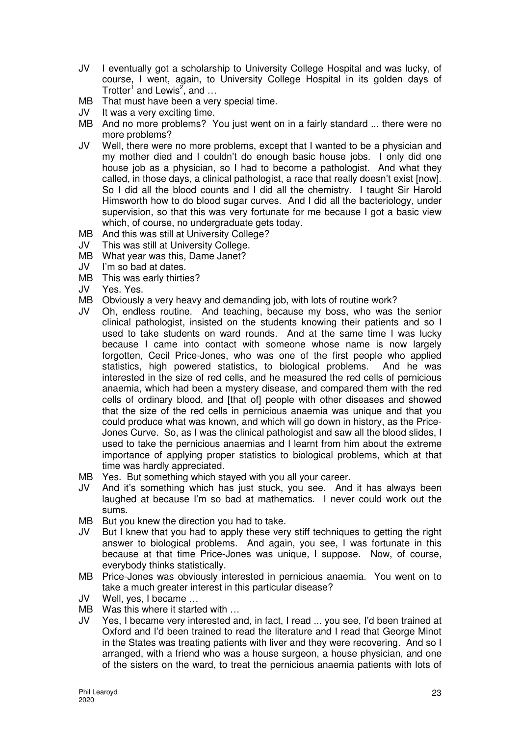- JV I eventually got a scholarship to University College Hospital and was lucky, of course, I went, again, to University College Hospital in its golden days of Trotter<sup>1</sup> and Lewis<sup>2</sup>, and  $\dots$
- MB That must have been a very special time.
- JV It was a very exciting time.
- MB And no more problems? You just went on in a fairly standard ... there were no more problems?
- JV Well, there were no more problems, except that I wanted to be a physician and my mother died and I couldn't do enough basic house jobs. I only did one house job as a physician, so I had to become a pathologist. And what they called, in those days, a clinical pathologist, a race that really doesn't exist [now]. So I did all the blood counts and I did all the chemistry. I taught Sir Harold Himsworth how to do blood sugar curves. And I did all the bacteriology, under supervision, so that this was very fortunate for me because I got a basic view which, of course, no undergraduate gets today.
- MB And this was still at University College?
- JV This was still at University College.
- MB What year was this, Dame Janet?
- JV I'm so bad at dates.
- MB This was early thirties?
- JV Yes. Yes.
- MB Obviously a very heavy and demanding job, with lots of routine work?
- JV Oh, endless routine. And teaching, because my boss, who was the senior clinical pathologist, insisted on the students knowing their patients and so I used to take students on ward rounds. And at the same time I was lucky because I came into contact with someone whose name is now largely forgotten, Cecil Price-Jones, who was one of the first people who applied statistics, high powered statistics, to biological problems. And he was interested in the size of red cells, and he measured the red cells of pernicious anaemia, which had been a mystery disease, and compared them with the red cells of ordinary blood, and [that of] people with other diseases and showed that the size of the red cells in pernicious anaemia was unique and that you could produce what was known, and which will go down in history, as the Price-Jones Curve. So, as I was the clinical pathologist and saw all the blood slides, I used to take the pernicious anaemias and I learnt from him about the extreme importance of applying proper statistics to biological problems, which at that time was hardly appreciated.
- MB Yes. But something which stayed with you all your career.
- JV And it's something which has just stuck, you see. And it has always been laughed at because I'm so bad at mathematics. I never could work out the sums.
- MB But you knew the direction you had to take.
- JV But I knew that you had to apply these very stiff techniques to getting the right answer to biological problems. And again, you see, I was fortunate in this because at that time Price-Jones was unique, I suppose. Now, of course, everybody thinks statistically.
- MB Price-Jones was obviously interested in pernicious anaemia. You went on to take a much greater interest in this particular disease?
- JV Well, yes, I became …
- MB Was this where it started with ...
- JV Yes, I became very interested and, in fact, I read ... you see, I'd been trained at Oxford and I'd been trained to read the literature and I read that George Minot in the States was treating patients with liver and they were recovering. And so I arranged, with a friend who was a house surgeon, a house physician, and one of the sisters on the ward, to treat the pernicious anaemia patients with lots of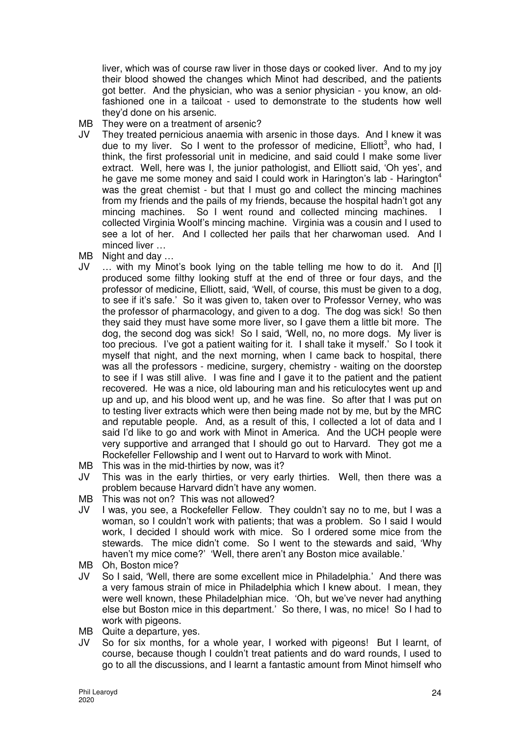liver, which was of course raw liver in those days or cooked liver. And to my joy their blood showed the changes which Minot had described, and the patients got better. And the physician, who was a senior physician - you know, an oldfashioned one in a tailcoat - used to demonstrate to the students how well they'd done on his arsenic.

- MB They were on a treatment of arsenic?
- JV They treated pernicious anaemia with arsenic in those days. And I knew it was due to my liver. So I went to the professor of medicine, Elliott<sup>3</sup>, who had, I think, the first professorial unit in medicine, and said could I make some liver extract. Well, here was I, the junior pathologist, and Elliott said, 'Oh yes', and he gave me some money and said I could work in Harington's lab - Harington<sup>4</sup> was the great chemist - but that I must go and collect the mincing machines from my friends and the pails of my friends, because the hospital hadn't got any mincing machines. So I went round and collected mincing machines. I collected Virginia Woolf's mincing machine. Virginia was a cousin and I used to see a lot of her. And I collected her pails that her charwoman used. And I minced liver …
- MB Night and day …
- JV … with my Minot's book lying on the table telling me how to do it. And [I] produced some filthy looking stuff at the end of three or four days, and the professor of medicine, Elliott, said, 'Well, of course, this must be given to a dog, to see if it's safe.' So it was given to, taken over to Professor Verney, who was the professor of pharmacology, and given to a dog. The dog was sick! So then they said they must have some more liver, so I gave them a little bit more. The dog, the second dog was sick! So I said, 'Well, no, no more dogs. My liver is too precious. I've got a patient waiting for it. I shall take it myself.' So I took it myself that night, and the next morning, when I came back to hospital, there was all the professors - medicine, surgery, chemistry - waiting on the doorstep to see if I was still alive. I was fine and I gave it to the patient and the patient recovered. He was a nice, old labouring man and his reticulocytes went up and up and up, and his blood went up, and he was fine. So after that I was put on to testing liver extracts which were then being made not by me, but by the MRC and reputable people. And, as a result of this, I collected a lot of data and I said I'd like to go and work with Minot in America. And the UCH people were very supportive and arranged that I should go out to Harvard. They got me a Rockefeller Fellowship and I went out to Harvard to work with Minot.
- MB This was in the mid-thirties by now, was it?
- JV This was in the early thirties, or very early thirties. Well, then there was a problem because Harvard didn't have any women.
- MB This was not on? This was not allowed?
- JV I was, you see, a Rockefeller Fellow. They couldn't say no to me, but I was a woman, so I couldn't work with patients; that was a problem. So I said I would work, I decided I should work with mice. So I ordered some mice from the stewards. The mice didn't come. So I went to the stewards and said, 'Why haven't my mice come?' 'Well, there aren't any Boston mice available.'
- MB Oh, Boston mice?
- JV So I said, 'Well, there are some excellent mice in Philadelphia.' And there was a very famous strain of mice in Philadelphia which I knew about. I mean, they were well known, these Philadelphian mice. 'Oh, but we've never had anything else but Boston mice in this department.' So there, I was, no mice! So I had to work with pigeons.
- MB Quite a departure, yes.
- JV So for six months, for a whole year, I worked with pigeons! But I learnt, of course, because though I couldn't treat patients and do ward rounds, I used to go to all the discussions, and I learnt a fantastic amount from Minot himself who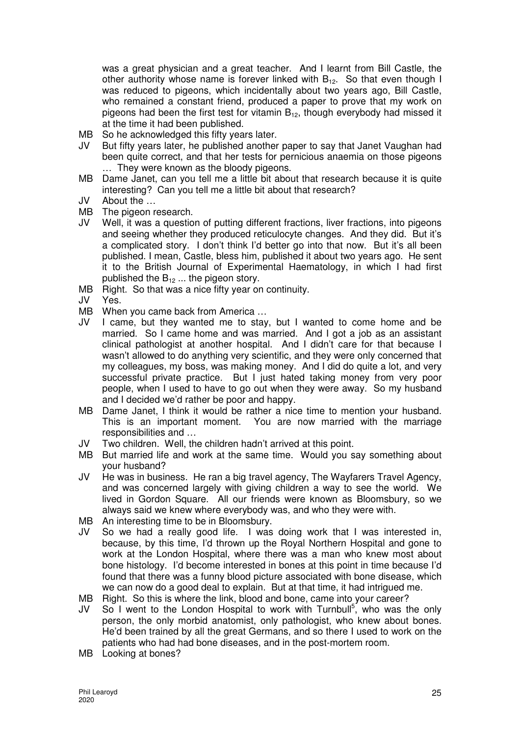was a great physician and a great teacher. And I learnt from Bill Castle, the other authority whose name is forever linked with  $B_{12}$ . So that even though I was reduced to pigeons, which incidentally about two years ago, Bill Castle, who remained a constant friend, produced a paper to prove that my work on pigeons had been the first test for vitamin  $B_{12}$ , though everybody had missed it at the time it had been published.

- MB So he acknowledged this fifty years later.
- JV But fifty years later, he published another paper to say that Janet Vaughan had been quite correct, and that her tests for pernicious anaemia on those pigeons … They were known as the bloody pigeons.
- MB Dame Janet, can you tell me a little bit about that research because it is quite interesting? Can you tell me a little bit about that research?
- JV About the …
- MB The pigeon research.
- JV Well, it was a question of putting different fractions, liver fractions, into pigeons and seeing whether they produced reticulocyte changes. And they did. But it's a complicated story. I don't think I'd better go into that now. But it's all been published. I mean, Castle, bless him, published it about two years ago. He sent it to the British Journal of Experimental Haematology, in which I had first published the  $B_{12}$  ... the pigeon story.
- MB Right. So that was a nice fifty year on continuity.
- JV Yes.
- MB When you came back from America ...
- JV I came, but they wanted me to stay, but I wanted to come home and be married. So I came home and was married. And I got a job as an assistant clinical pathologist at another hospital. And I didn't care for that because I wasn't allowed to do anything very scientific, and they were only concerned that my colleagues, my boss, was making money. And I did do quite a lot, and very successful private practice. But I just hated taking money from very poor people, when I used to have to go out when they were away. So my husband and I decided we'd rather be poor and happy.
- MB Dame Janet, I think it would be rather a nice time to mention your husband. This is an important moment. You are now married with the marriage responsibilities and …
- JV Two children. Well, the children hadn't arrived at this point.
- MB But married life and work at the same time. Would you say something about your husband?
- JV He was in business. He ran a big travel agency, The Wayfarers Travel Agency, and was concerned largely with giving children a way to see the world. We lived in Gordon Square. All our friends were known as Bloomsbury, so we always said we knew where everybody was, and who they were with.
- MB An interesting time to be in Bloomsbury.
- JV So we had a really good life. I was doing work that I was interested in, because, by this time, I'd thrown up the Royal Northern Hospital and gone to work at the London Hospital, where there was a man who knew most about bone histology. I'd become interested in bones at this point in time because I'd found that there was a funny blood picture associated with bone disease, which we can now do a good deal to explain. But at that time, it had intrigued me.
- MB Right. So this is where the link, blood and bone, came into your career?
- JV So I went to the London Hospital to work with Turnbull<sup>5</sup>, who was the only person, the only morbid anatomist, only pathologist, who knew about bones. He'd been trained by all the great Germans, and so there I used to work on the patients who had had bone diseases, and in the post-mortem room.
- MB Looking at bones?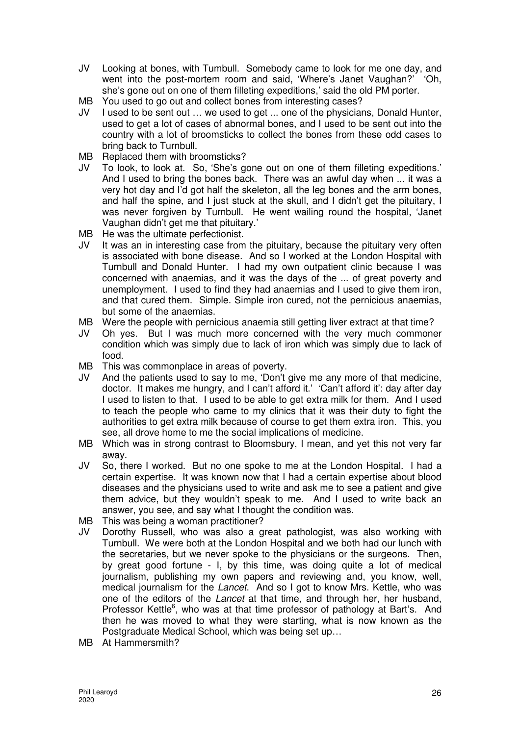- JV Looking at bones, with Tumbull. Somebody came to look for me one day, and went into the post-mortem room and said, 'Where's Janet Vaughan?' 'Oh, she's gone out on one of them filleting expeditions,' said the old PM porter.
- MB You used to go out and collect bones from interesting cases?
- JV I used to be sent out … we used to get ... one of the physicians, Donald Hunter, used to get a lot of cases of abnormal bones, and I used to be sent out into the country with a lot of broomsticks to collect the bones from these odd cases to bring back to Turnbull.
- MB Replaced them with broomsticks?
- JV To look, to look at. So, 'She's gone out on one of them filleting expeditions.' And I used to bring the bones back. There was an awful day when ... it was a very hot day and I'd got half the skeleton, all the leg bones and the arm bones, and half the spine, and I just stuck at the skull, and I didn't get the pituitary, I was never forgiven by Turnbull. He went wailing round the hospital, 'Janet Vaughan didn't get me that pituitary.'
- MB He was the ultimate perfectionist.
- JV It was an in interesting case from the pituitary, because the pituitary very often is associated with bone disease. And so I worked at the London Hospital with Turnbull and Donald Hunter. I had my own outpatient clinic because I was concerned with anaemias, and it was the days of the ... of great poverty and unemployment. I used to find they had anaemias and I used to give them iron, and that cured them. Simple. Simple iron cured, not the pernicious anaemias, but some of the anaemias.
- MB Were the people with pernicious anaemia still getting liver extract at that time?
- JV Oh yes. But I was much more concerned with the very much commoner condition which was simply due to lack of iron which was simply due to lack of food.
- MB This was commonplace in areas of poverty.
- JV And the patients used to say to me, 'Don't give me any more of that medicine, doctor. It makes me hungry, and I can't afford it.' 'Can't afford it': day after day I used to listen to that. I used to be able to get extra milk for them. And I used to teach the people who came to my clinics that it was their duty to fight the authorities to get extra milk because of course to get them extra iron. This, you see, all drove home to me the social implications of medicine.
- MB Which was in strong contrast to Bloomsbury, I mean, and yet this not very far away.
- JV So, there I worked. But no one spoke to me at the London Hospital. I had a certain expertise. It was known now that I had a certain expertise about blood diseases and the physicians used to write and ask me to see a patient and give them advice, but they wouldn't speak to me. And I used to write back an answer, you see, and say what I thought the condition was.
- MB This was being a woman practitioner?
- JV Dorothy Russell, who was also a great pathologist, was also working with Turnbull. We were both at the London Hospital and we both had our lunch with the secretaries, but we never spoke to the physicians or the surgeons. Then, by great good fortune - I, by this time, was doing quite a lot of medical journalism, publishing my own papers and reviewing and, you know, well, medical journalism for the Lancet. And so I got to know Mrs. Kettle, who was one of the editors of the Lancet at that time, and through her, her husband, Professor Kettle<sup>6</sup>, who was at that time professor of pathology at Bart's. And then he was moved to what they were starting, what is now known as the Postgraduate Medical School, which was being set up…
- MB At Hammersmith?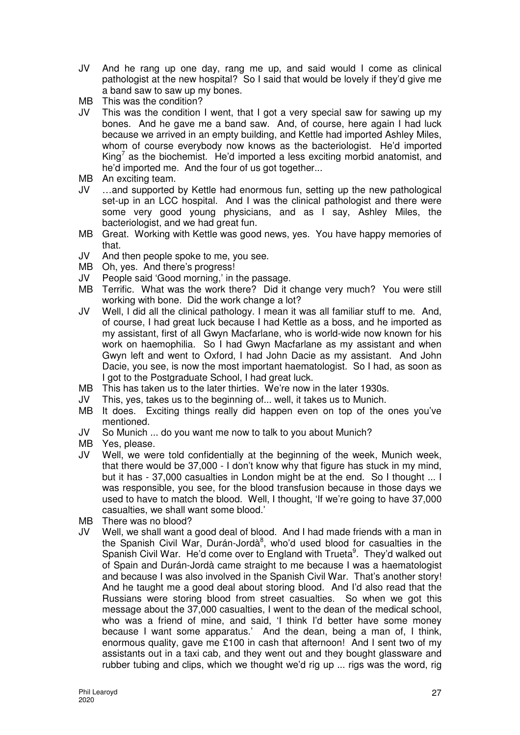- JV And he rang up one day, rang me up, and said would I come as clinical pathologist at the new hospital? So I said that would be lovely if they'd give me a band saw to saw up my bones.
- MB This was the condition?
- JV This was the condition I went, that I got a very special saw for sawing up my bones. And he gave me a band saw. And, of course, here again I had luck because we arrived in an empty building, and Kettle had imported Ashley Miles, whom of course everybody now knows as the bacteriologist. He'd imported King<sup>7</sup> as the biochemist. He'd imported a less exciting morbid anatomist, and he'd imported me. And the four of us got together...
- MB An exciting team.
- JV …and supported by Kettle had enormous fun, setting up the new pathological set-up in an LCC hospital. And I was the clinical pathologist and there were some very good young physicians, and as I say, Ashley Miles, the bacteriologist, and we had great fun.
- MB Great. Working with Kettle was good news, yes. You have happy memories of that.
- JV And then people spoke to me, you see.
- MB Oh, yes. And there's progress!
- JV People said 'Good morning,' in the passage.
- MB Terrific. What was the work there? Did it change very much? You were still working with bone. Did the work change a lot?
- JV Well, I did all the clinical pathology. I mean it was all familiar stuff to me. And, of course, I had great luck because I had Kettle as a boss, and he imported as my assistant, first of all Gwyn Macfarlane, who is world-wide now known for his work on haemophilia. So I had Gwyn Macfarlane as my assistant and when Gwyn left and went to Oxford, I had John Dacie as my assistant. And John Dacie, you see, is now the most important haematologist. So I had, as soon as I got to the Postgraduate School, I had great luck.
- MB This has taken us to the later thirties. We're now in the later 1930s.
- JV This, yes, takes us to the beginning of... well, it takes us to Munich.
- MB It does. Exciting things really did happen even on top of the ones you've mentioned.
- JV So Munich ... do you want me now to talk to you about Munich?
- MB Yes, please.
- JV Well, we were told confidentially at the beginning of the week, Munich week, that there would be 37,000 - I don't know why that figure has stuck in my mind, but it has - 37,000 casualties in London might be at the end. So I thought ... I was responsible, you see, for the blood transfusion because in those days we used to have to match the blood. Well, I thought, 'If we're going to have 37,000 casualties, we shall want some blood.'
- MB There was no blood?
- JV Well, we shall want a good deal of blood. And I had made friends with a man in the Spanish Civil War, Durán-Jordà<sup>8</sup>, who'd used blood for casualties in the Spanish Civil War. He'd come over to England with Trueta<sup>9</sup>. They'd walked out of Spain and Durán-Jordà came straight to me because I was a haematologist and because I was also involved in the Spanish Civil War. That's another story! And he taught me a good deal about storing blood. And I'd also read that the Russians were storing blood from street casualties. So when we got this message about the 37,000 casualties, I went to the dean of the medical school, who was a friend of mine, and said, 'I think I'd better have some money because I want some apparatus.' And the dean, being a man of, I think, enormous quality, gave me £100 in cash that afternoon! And I sent two of my assistants out in a taxi cab, and they went out and they bought glassware and rubber tubing and clips, which we thought we'd rig up ... rigs was the word, rig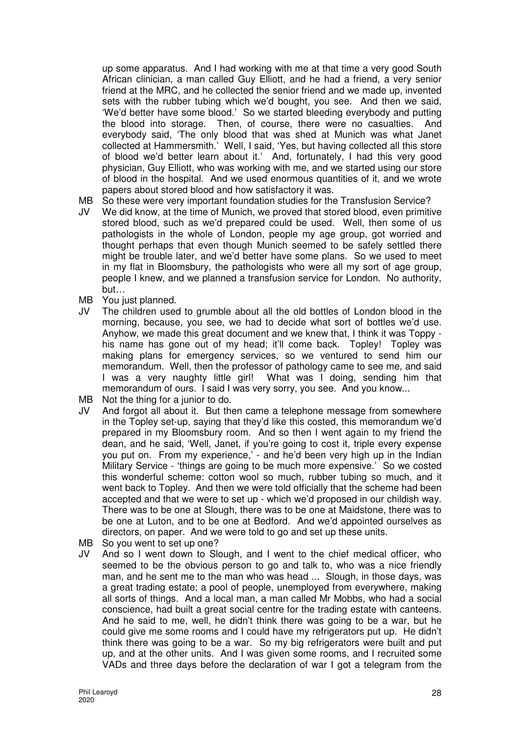up some apparatus. And I had working with me at that time a very good South African clinician, a man called Guy Elliott, and he had a friend, a very senior friend at the MRC, and he collected the senior friend and we made up, invented sets with the rubber tubing which we'd bought, you see. And then we said, 'We'd better have some blood.' So we started bleeding everybody and putting the blood into storage. Then, of course, there were no casualties. And everybody said, 'The only blood that was shed at Munich was what Janet collected at Hammersmith.' Well, I said, 'Yes, but having collected all this store of blood we'd better learn about it.' And, fortunately, I had this very good physician, Guy Elliott, who was working with me, and we started using our store of blood in the hospital. And we used enormous quantities of it, and we wrote papers about stored blood and how satisfactory it was.

- MB So these were very important foundation studies for the Transfusion Service?
- JV We did know, at the time of Munich, we proved that stored blood, even primitive stored blood, such as we'd prepared could be used. Well, then some of us pathologists in the whole of London, people my age group, got worried and thought perhaps that even though Munich seemed to be safely settled there might be trouble later, and we'd better have some plans. So we used to meet in my flat in Bloomsbury, the pathologists who were all my sort of age group, people I knew, and we planned a transfusion service for London. No authority, but…
- MB You just planned.
- JV The children used to grumble about all the old bottles of London blood in the morning, because, you see, we had to decide what sort of bottles we'd use. Anyhow, we made this great document and we knew that, I think it was Toppy his name has gone out of my head; it'll come back. Topley! Topley was making plans for emergency services, so we ventured to send him our memorandum. Well, then the professor of pathology came to see me, and said I was a very naughty little girl! What was I doing, sending him that memorandum of ours. I said I was very sorry, you see. And you know...
- MB Not the thing for a junior to do.
- JV And forgot all about it. But then came a telephone message from somewhere in the Topley set-up, saying that they'd like this costed, this memorandum we'd prepared in my Bloomsbury room. And so then I went again to my friend the dean, and he said, 'Well, Janet, if you're going to cost it, triple every expense you put on. From my experience,' - and he'd been very high up in the Indian Military Service - 'things are going to be much more expensive.' So we costed this wonderful scheme: cotton wool so much, rubber tubing so much, and it went back to Topley. And then we were told officially that the scheme had been accepted and that we were to set up - which we'd proposed in our childish way. There was to be one at Slough, there was to be one at Maidstone, there was to be one at Luton, and to be one at Bedford. And we'd appointed ourselves as directors, on paper. And we were told to go and set up these units.
- MB So you went to set up one?
- JV And so I went down to Slough, and I went to the chief medical officer, who seemed to be the obvious person to go and talk to, who was a nice friendly man, and he sent me to the man who was head ... Slough, in those days, was a great trading estate; a pool of people, unemployed from everywhere, making all sorts of things. And a local man, a man called Mr Mobbs, who had a social conscience, had built a great social centre for the trading estate with canteens. And he said to me, well, he didn't think there was going to be a war, but he could give me some rooms and I could have my refrigerators put up. He didn't think there was going to be a war. So my big refrigerators were built and put up, and at the other units. And I was given some rooms, and I recruited some VADs and three days before the declaration of war I got a telegram from the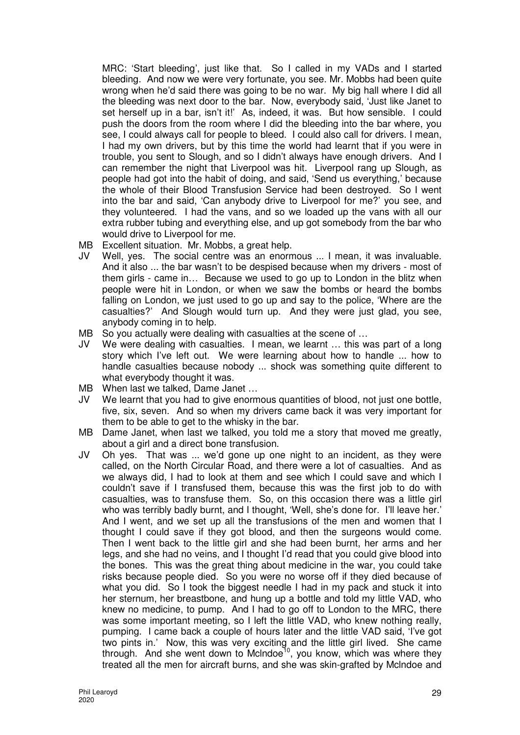MRC: 'Start bleeding', just like that. So I called in my VADs and I started bleeding. And now we were very fortunate, you see. Mr. Mobbs had been quite wrong when he'd said there was going to be no war. My big hall where I did all the bleeding was next door to the bar. Now, everybody said, 'Just like Janet to set herself up in a bar, isn't it!' As, indeed, it was. But how sensible. I could push the doors from the room where I did the bleeding into the bar where, you see, I could always call for people to bleed. I could also call for drivers. I mean, I had my own drivers, but by this time the world had learnt that if you were in trouble, you sent to Slough, and so I didn't always have enough drivers. And I can remember the night that Liverpool was hit. Liverpool rang up Slough, as people had got into the habit of doing, and said, 'Send us everything,' because the whole of their Blood Transfusion Service had been destroyed. So I went into the bar and said, 'Can anybody drive to Liverpool for me?' you see, and they volunteered. I had the vans, and so we loaded up the vans with all our extra rubber tubing and everything else, and up got somebody from the bar who would drive to Liverpool for me.

- MB Excellent situation. Mr. Mobbs, a great help.
- JV Well, yes. The social centre was an enormous ... I mean, it was invaluable. And it also ... the bar wasn't to be despised because when my drivers - most of them girls - came in… Because we used to go up to London in the blitz when people were hit in London, or when we saw the bombs or heard the bombs falling on London, we just used to go up and say to the police, 'Where are the casualties?' And Slough would turn up. And they were just glad, you see, anybody coming in to help.
- MB So you actually were dealing with casualties at the scene of ...
- JV We were dealing with casualties. I mean, we learnt … this was part of a long story which I've left out. We were learning about how to handle ... how to handle casualties because nobody ... shock was something quite different to what everybody thought it was.
- MB When last we talked, Dame Janet …
- JV We learnt that you had to give enormous quantities of blood, not just one bottle, five, six, seven. And so when my drivers came back it was very important for them to be able to get to the whisky in the bar.
- MB Dame Janet, when last we talked, you told me a story that moved me greatly, about a girl and a direct bone transfusion.
- JV Oh yes. That was ... we'd gone up one night to an incident, as they were called, on the North Circular Road, and there were a lot of casualties. And as we always did, I had to look at them and see which I could save and which I couldn't save if I transfused them, because this was the first job to do with casualties, was to transfuse them. So, on this occasion there was a little girl who was terribly badly burnt, and I thought, 'Well, she's done for. I'll leave her.' And I went, and we set up all the transfusions of the men and women that I thought I could save if they got blood, and then the surgeons would come. Then I went back to the little girl and she had been burnt, her arms and her legs, and she had no veins, and I thought I'd read that you could give blood into the bones. This was the great thing about medicine in the war, you could take risks because people died. So you were no worse off if they died because of what you did. So I took the biggest needle I had in my pack and stuck it into her sternum, her breastbone, and hung up a bottle and told my little VAD, who knew no medicine, to pump. And I had to go off to London to the MRC, there was some important meeting, so I left the little VAD, who knew nothing really, pumping. I came back a couple of hours later and the little VAD said, 'I've got two pints in.' Now, this was very exciting and the little girl lived. She came through. And she went down to McIndoe<sup>10</sup>, you know, which was where they treated all the men for aircraft burns, and she was skin-grafted by Mclndoe and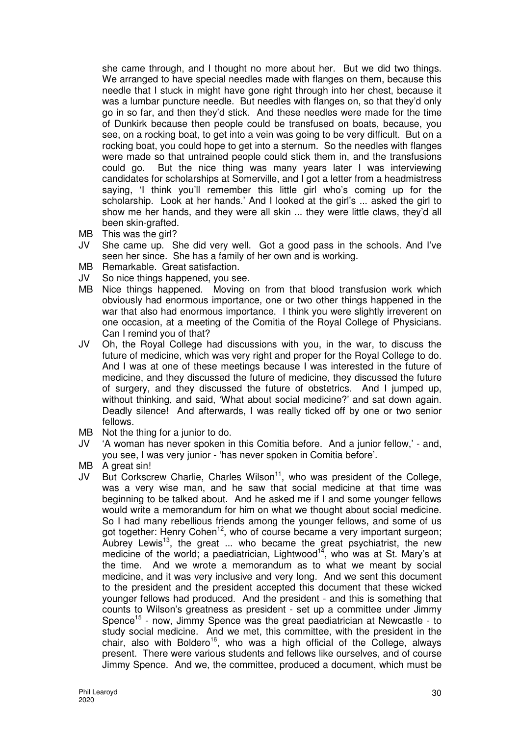she came through, and I thought no more about her. But we did two things. We arranged to have special needles made with flanges on them, because this needle that I stuck in might have gone right through into her chest, because it was a lumbar puncture needle. But needles with flanges on, so that they'd only go in so far, and then they'd stick. And these needles were made for the time of Dunkirk because then people could be transfused on boats, because, you see, on a rocking boat, to get into a vein was going to be very difficult. But on a rocking boat, you could hope to get into a sternum. So the needles with flanges were made so that untrained people could stick them in, and the transfusions could go. But the nice thing was many years later I was interviewing candidates for scholarships at Somerville, and I got a letter from a headmistress saying, 'I think you'll remember this little girl who's coming up for the scholarship. Look at her hands.' And I looked at the girl's ... asked the girl to show me her hands, and they were all skin ... they were little claws, they'd all been skin-grafted.

- MB This was the girl?
- JV She came up. She did very well. Got a good pass in the schools. And I've seen her since. She has a family of her own and is working.
- MB Remarkable. Great satisfaction.
- JV So nice things happened, you see.
- MB Nice things happened. Moving on from that blood transfusion work which obviously had enormous importance, one or two other things happened in the war that also had enormous importance. I think you were slightly irreverent on one occasion, at a meeting of the Comitia of the Royal College of Physicians. Can I remind you of that?
- JV Oh, the Royal College had discussions with you, in the war, to discuss the future of medicine, which was very right and proper for the Royal College to do. And I was at one of these meetings because I was interested in the future of medicine, and they discussed the future of medicine, they discussed the future of surgery, and they discussed the future of obstetrics. And I jumped up, without thinking, and said, 'What about social medicine?' and sat down again. Deadly silence! And afterwards, I was really ticked off by one or two senior fellows.
- MB Not the thing for a junior to do.
- JV 'A woman has never spoken in this Comitia before. And a junior fellow,' and, you see, I was very junior - 'has never spoken in Comitia before'.
- MB A great sin!
- $JV$  But Corkscrew Charlie, Charles Wilson<sup>11</sup>, who was president of the College, was a very wise man, and he saw that social medicine at that time was beginning to be talked about. And he asked me if I and some younger fellows would write a memorandum for him on what we thought about social medicine. So I had many rebellious friends among the younger fellows, and some of us got together: Henry Cohen<sup>12</sup>, who of course became a very important surgeon; Aubrey Lewis<sup>13</sup>, the great ... who became the great psychiatrist, the new medicine of the world; a paediatrician, Lightwood<sup>14</sup>, who was at St. Mary's at the time. And we wrote a memorandum as to what we meant by social medicine, and it was very inclusive and very long. And we sent this document to the president and the president accepted this document that these wicked younger fellows had produced. And the president - and this is something that counts to Wilson's greatness as president - set up a committee under Jimmy Spence<sup>15</sup> - now, Jimmy Spence was the great paediatrician at Newcastle - to study social medicine. And we met, this committee, with the president in the chair, also with Boldero<sup>16</sup>, who was a high official of the College, always present. There were various students and fellows like ourselves, and of course Jimmy Spence. And we, the committee, produced a document, which must be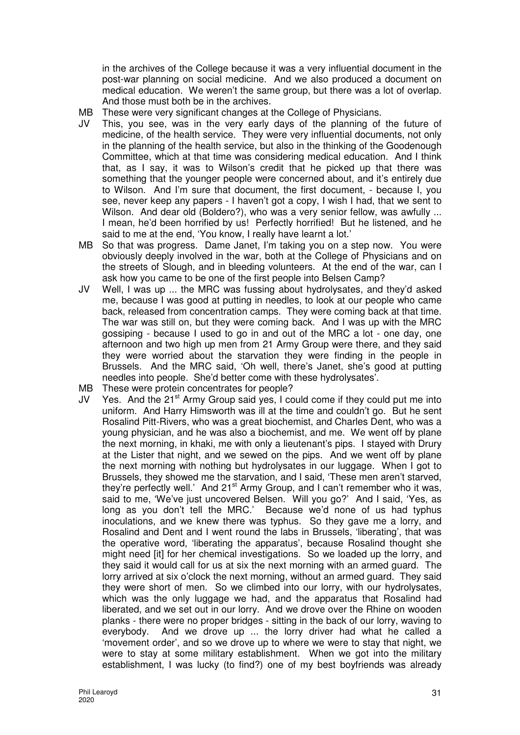in the archives of the College because it was a very influential document in the post-war planning on social medicine. And we also produced a document on medical education. We weren't the same group, but there was a lot of overlap. And those must both be in the archives.

- MB These were very significant changes at the College of Physicians.
- JV This, you see, was in the very early days of the planning of the future of medicine, of the health service. They were very influential documents, not only in the planning of the health service, but also in the thinking of the Goodenough Committee, which at that time was considering medical education. And I think that, as I say, it was to Wilson's credit that he picked up that there was something that the younger people were concerned about, and it's entirely due to Wilson. And I'm sure that document, the first document, - because I, you see, never keep any papers - I haven't got a copy, I wish I had, that we sent to Wilson. And dear old (Boldero?), who was a very senior fellow, was awfully ... I mean, he'd been horrified by us! Perfectly horrified! But he listened, and he said to me at the end, 'You know, I really have learnt a lot.'
- MB So that was progress. Dame Janet, I'm taking you on a step now. You were obviously deeply involved in the war, both at the College of Physicians and on the streets of Slough, and in bleeding volunteers. At the end of the war, can I ask how you came to be one of the first people into Belsen Camp?
- JV Well, I was up ... the MRC was fussing about hydrolysates, and they'd asked me, because I was good at putting in needles, to look at our people who came back, released from concentration camps. They were coming back at that time. The war was still on, but they were coming back. And I was up with the MRC gossiping - because I used to go in and out of the MRC a lot - one day, one afternoon and two high up men from 21 Army Group were there, and they said they were worried about the starvation they were finding in the people in Brussels. And the MRC said, 'Oh well, there's Janet, she's good at putting needles into people. She'd better come with these hydrolysates'.
- MB These were protein concentrates for people?
- JV Yes. And the 21<sup>st</sup> Army Group said yes, I could come if they could put me into uniform. And Harry Himsworth was ill at the time and couldn't go. But he sent Rosalind Pitt-Rivers, who was a great biochemist, and Charles Dent, who was a young physician, and he was also a biochemist, and me. We went off by plane the next morning, in khaki, me with only a lieutenant's pips. I stayed with Drury at the Lister that night, and we sewed on the pips. And we went off by plane the next morning with nothing but hydrolysates in our luggage. When I got to Brussels, they showed me the starvation, and I said, 'These men aren't starved, they're perfectly well.' And  $21<sup>st</sup>$  Army Group, and I can't remember who it was, said to me, 'We've just uncovered Belsen. Will you go?' And I said, 'Yes, as long as you don't tell the MRC.' Because we'd none of us had typhus inoculations, and we knew there was typhus. So they gave me a lorry, and Rosalind and Dent and I went round the labs in Brussels, 'liberating', that was the operative word, 'liberating the apparatus', because Rosalind thought she might need [it] for her chemical investigations. So we loaded up the lorry, and they said it would call for us at six the next morning with an armed guard. The lorry arrived at six o'clock the next morning, without an armed guard. They said they were short of men. So we climbed into our lorry, with our hydrolysates, which was the only luggage we had, and the apparatus that Rosalind had liberated, and we set out in our lorry. And we drove over the Rhine on wooden planks - there were no proper bridges - sitting in the back of our lorry, waving to everybody. And we drove up ... the lorry driver had what he called a 'movement order', and so we drove up to where we were to stay that night, we were to stay at some military establishment. When we got into the military establishment, I was lucky (to find?) one of my best boyfriends was already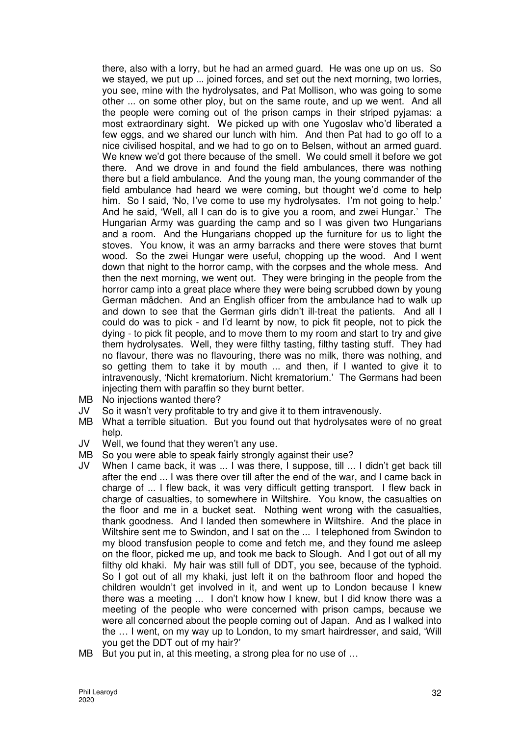there, also with a lorry, but he had an armed guard. He was one up on us. So we stayed, we put up ... joined forces, and set out the next morning, two lorries, you see, mine with the hydrolysates, and Pat Mollison, who was going to some other ... on some other ploy, but on the same route, and up we went. And all the people were coming out of the prison camps in their striped pyjamas: a most extraordinary sight. We picked up with one Yugoslav who'd liberated a few eggs, and we shared our lunch with him. And then Pat had to go off to a nice civilised hospital, and we had to go on to Belsen, without an armed guard. We knew we'd got there because of the smell. We could smell it before we got there. And we drove in and found the field ambulances, there was nothing there but a field ambulance. And the young man, the young commander of the field ambulance had heard we were coming, but thought we'd come to help him. So I said, 'No, I've come to use my hydrolysates. I'm not going to help.' And he said, 'Well, all I can do is to give you a room, and zwei Hungar.' The Hungarian Army was guarding the camp and so I was given two Hungarians and a room. And the Hungarians chopped up the furniture for us to light the stoves. You know, it was an army barracks and there were stoves that burnt wood. So the zwei Hungar were useful, chopping up the wood. And I went down that night to the horror camp, with the corpses and the whole mess. And then the next morning, we went out. They were bringing in the people from the horror camp into a great place where they were being scrubbed down by young German mädchen. And an English officer from the ambulance had to walk up and down to see that the German girls didn't ill-treat the patients. And all I could do was to pick - and I'd learnt by now, to pick fit people, not to pick the dying - to pick fit people, and to move them to my room and start to try and give them hydrolysates. Well, they were filthy tasting, filthy tasting stuff. They had no flavour, there was no flavouring, there was no milk, there was nothing, and so getting them to take it by mouth ... and then, if I wanted to give it to intravenously, 'Nicht krematorium. Nicht krematorium.' The Germans had been injecting them with paraffin so they burnt better.

- MB No injections wanted there?<br>JV So it wasn't verv profitable to
- JV So it wasn't very profitable to try and give it to them intravenously.<br>MB What a terrible situation. But you found out that hydrolysates we
- What a terrible situation. But you found out that hydrolysates were of no great help.
- JV Well, we found that they weren't any use.
- MB So you were able to speak fairly strongly against their use?
- JV When I came back, it was ... I was there, I suppose, till ... I didn't get back till after the end ... I was there over till after the end of the war, and I came back in charge of ... I flew back, it was very difficult getting transport. I flew back in charge of casualties, to somewhere in Wiltshire. You know, the casualties on the floor and me in a bucket seat. Nothing went wrong with the casualties, thank goodness. And I landed then somewhere in Wiltshire. And the place in Wiltshire sent me to Swindon, and I sat on the ... I telephoned from Swindon to my blood transfusion people to come and fetch me, and they found me asleep on the floor, picked me up, and took me back to Slough. And I got out of all my filthy old khaki. My hair was still full of DDT, you see, because of the typhoid. So I got out of all my khaki, just left it on the bathroom floor and hoped the children wouldn't get involved in it, and went up to London because I knew there was a meeting ... I don't know how I knew, but I did know there was a meeting of the people who were concerned with prison camps, because we were all concerned about the people coming out of Japan. And as I walked into the … I went, on my way up to London, to my smart hairdresser, and said, 'Will you get the DDT out of my hair?'
- MB But you put in, at this meeting, a strong plea for no use of ...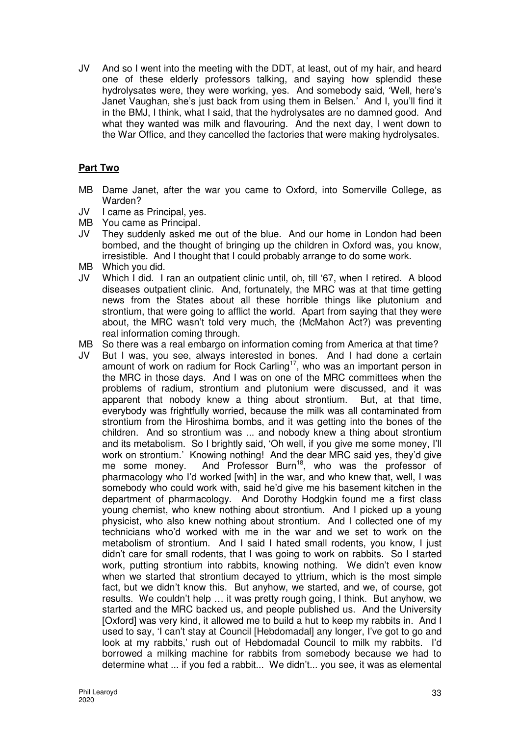JV And so I went into the meeting with the DDT, at least, out of my hair, and heard one of these elderly professors talking, and saying how splendid these hydrolysates were, they were working, yes. And somebody said, 'Well, here's Janet Vaughan, she's just back from using them in Belsen.' And I, you'll find it in the BMJ, I think, what I said, that the hydrolysates are no damned good. And what they wanted was milk and flavouring. And the next day, I went down to the War Office, and they cancelled the factories that were making hydrolysates.

# **Part Two**

- MB Dame Janet, after the war you came to Oxford, into Somerville College, as Warden?
- JV I came as Principal, yes.
- MB You came as Principal.
- JV They suddenly asked me out of the blue. And our home in London had been bombed, and the thought of bringing up the children in Oxford was, you know, irresistible. And I thought that I could probably arrange to do some work.
- MB Which you did.
- JV Which I did. I ran an outpatient clinic until, oh, till '67, when I retired. A blood diseases outpatient clinic. And, fortunately, the MRC was at that time getting news from the States about all these horrible things like plutonium and strontium, that were going to afflict the world. Apart from saying that they were about, the MRC wasn't told very much, the (McMahon Act?) was preventing real information coming through.
- MB So there was a real embargo on information coming from America at that time?
- JV But I was, you see, always interested in bones. And I had done a certain amount of work on radium for Rock Carling<sup>17</sup>, who was an important person in the MRC in those days. And I was on one of the MRC committees when the problems of radium, strontium and plutonium were discussed, and it was apparent that nobody knew a thing about strontium. But, at that time, everybody was frightfully worried, because the milk was all contaminated from strontium from the Hiroshima bombs, and it was getting into the bones of the children. And so strontium was ... and nobody knew a thing about strontium and its metabolism. So I brightly said, 'Oh well, if you give me some money, I'll work on strontium.' Knowing nothing! And the dear MRC said yes, they'd give men on outcomanning maning or and the bear interests you, and you allow the same money. And Professor Burn<sup>18</sup>, who was the professor of pharmacology who I'd worked [with] in the war, and who knew that, well, I was somebody who could work with, said he'd give me his basement kitchen in the department of pharmacology. And Dorothy Hodgkin found me a first class young chemist, who knew nothing about strontium. And I picked up a young physicist, who also knew nothing about strontium. And I collected one of my technicians who'd worked with me in the war and we set to work on the metabolism of strontium. And I said I hated small rodents, you know, I just didn't care for small rodents, that I was going to work on rabbits. So I started work, putting strontium into rabbits, knowing nothing. We didn't even know when we started that strontium decayed to yttrium, which is the most simple fact, but we didn't know this. But anyhow, we started, and we, of course, got results. We couldn't help … it was pretty rough going, I think. But anyhow, we started and the MRC backed us, and people published us. And the University [Oxford] was very kind, it allowed me to build a hut to keep my rabbits in. And I used to say, 'I can't stay at Council [Hebdomadal] any longer, I've got to go and look at my rabbits,' rush out of Hebdomadal Council to milk my rabbits. I'd borrowed a milking machine for rabbits from somebody because we had to determine what ... if you fed a rabbit... We didn't... you see, it was as elemental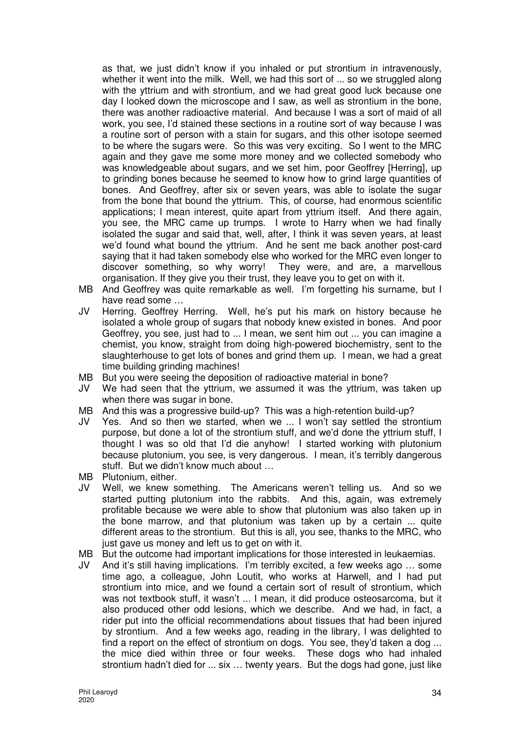as that, we just didn't know if you inhaled or put strontium in intravenously, whether it went into the milk. Well, we had this sort of ... so we struggled along with the yttrium and with strontium, and we had great good luck because one day I looked down the microscope and I saw, as well as strontium in the bone, there was another radioactive material. And because I was a sort of maid of all work, you see, I'd stained these sections in a routine sort of way because I was a routine sort of person with a stain for sugars, and this other isotope seemed to be where the sugars were. So this was very exciting. So I went to the MRC again and they gave me some more money and we collected somebody who was knowledgeable about sugars, and we set him, poor Geoffrey [Herring], up to grinding bones because he seemed to know how to grind large quantities of bones. And Geoffrey, after six or seven years, was able to isolate the sugar from the bone that bound the yttrium. This, of course, had enormous scientific applications; I mean interest, quite apart from yttrium itself. And there again, you see, the MRC came up trumps. I wrote to Harry when we had finally isolated the sugar and said that, well, after, I think it was seven years, at least we'd found what bound the yttrium. And he sent me back another post-card saying that it had taken somebody else who worked for the MRC even longer to discover something, so why worry! They were, and are, a marvellous organisation. If they give you their trust, they leave you to get on with it.

- MB And Geoffrey was quite remarkable as well. I'm forgetting his surname, but I have read some …
- JV Herring. Geoffrey Herring. Well, he's put his mark on history because he isolated a whole group of sugars that nobody knew existed in bones. And poor Geoffrey, you see, just had to ... I mean, we sent him out ... you can imagine a chemist, you know, straight from doing high-powered biochemistry, sent to the slaughterhouse to get lots of bones and grind them up. I mean, we had a great time building grinding machines!
- MB But you were seeing the deposition of radioactive material in bone?
- JV We had seen that the yttrium, we assumed it was the yttrium, was taken up when there was sugar in bone.
- MB And this was a progressive build-up? This was a high-retention build-up?
- JV Yes. And so then we started, when we ... I won't say settled the strontium purpose, but done a lot of the strontium stuff, and we'd done the yttrium stuff, I thought I was so old that I'd die anyhow! I started working with plutonium because plutonium, you see, is very dangerous. I mean, it's terribly dangerous stuff. But we didn't know much about …
- MB Plutonium, either.
- JV Well, we knew something. The Americans weren't telling us. And so we started putting plutonium into the rabbits. And this, again, was extremely profitable because we were able to show that plutonium was also taken up in the bone marrow, and that plutonium was taken up by a certain ... quite different areas to the strontium. But this is all, you see, thanks to the MRC, who just gave us money and left us to get on with it.
- MB But the outcome had important implications for those interested in leukaemias.
- JV And it's still having implications. I'm terribly excited, a few weeks ago … some time ago, a colleague, John Loutit, who works at Harwell, and I had put strontium into mice, and we found a certain sort of result of strontium, which was not textbook stuff, it wasn't ... I mean, it did produce osteosarcoma, but it also produced other odd lesions, which we describe. And we had, in fact, a rider put into the official recommendations about tissues that had been injured by strontium. And a few weeks ago, reading in the library, I was delighted to find a report on the effect of strontium on dogs. You see, they'd taken a dog ... the mice died within three or four weeks. These dogs who had inhaled strontium hadn't died for ... six … twenty years. But the dogs had gone, just like